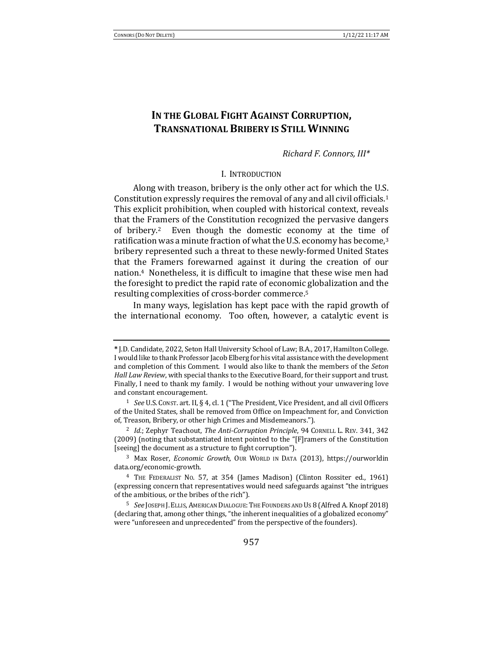# **IN THE GLOBAL FIGHT AGAINST CORRUPTION. TRANSNATIONAL BRIBERY IS STILL WINNING**

*Richard F. Connors, III\**

#### I. INTRODUCTION

Along with treason, bribery is the only other act for which the U.S. Constitution expressly requires the removal of any and all civil officials.<sup>1</sup> This explicit prohibition, when coupled with historical context, reveals that the Framers of the Constitution recognized the pervasive dangers of bribery.<sup>2</sup> Even though the domestic economy at the time of ratification was a minute fraction of what the U.S. economy has become, $3$ bribery represented such a threat to these newly-formed United States that the Framers forewarned against it during the creation of our nation.<sup>4</sup> Nonetheless, it is difficult to imagine that these wise men had the foresight to predict the rapid rate of economic globalization and the resulting complexities of cross-border commerce.<sup>5</sup>

In many ways, legislation has kept pace with the rapid growth of the international economy. Too often, however, a catalytic event is

**<sup>\*</sup>** J.D. Candidate, 2022, Seton Hall University School of Law; B.A., 2017, Hamilton College. I would like to thank Professor Jacob Elberg for his vital assistance with the development and completion of this Comment. I would also like to thank the members of the *Seton Hall Law Review*, with special thanks to the Executive Board, for their support and trust. Finally, I need to thank my family. I would be nothing without your unwavering love and constant encouragement.

<sup>&</sup>lt;sup>1</sup> *See* U.S. Const. art. II, § 4, cl. 1 ("The President, Vice President, and all civil Officers of the United States, shall be removed from Office on Impeachment for, and Conviction of, Treason, Bribery, or other high Crimes and Misdemeanors.").

<sup>&</sup>lt;sup>2</sup> *Id.*; Zephyr Teachout, *The Anti-Corruption Principle*, 94 CORNELL L. REV. 341, 342 (2009) (noting that substantiated intent pointed to the "[F]ramers of the Constitution [seeing] the document as a structure to fight corruption").

<sup>&</sup>lt;sup>3</sup> Max Roser, *Economic Growth*, OUR WORLD IN DATA (2013), https://ourworldin data.org/economic-growth. 

<sup>&</sup>lt;sup>4</sup> THE FEDERALIST No. 57, at 354 (James Madison) (Clinton Rossiter ed., 1961) (expressing concern that representatives would need safeguards against "the intrigues of the ambitious, or the bribes of the rich").

<sup>&</sup>lt;sup>5</sup> *See* JOSEPH J. ELLIS, AMERICAN DIALOGUE: THE FOUNDERS AND US 8 (Alfred A. Knopf 2018) (declaring that, among other things, "the inherent inequalities of a globalized economy" were "unforeseen and unprecedented" from the perspective of the founders).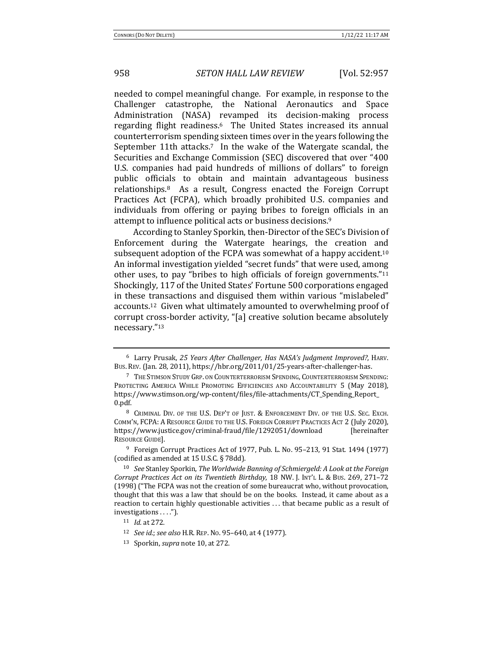needed to compel meaningful change. For example, in response to the Challenger catastrophe, the National Aeronautics and Space Administration (NASA) revamped its decision-making process regarding flight readiness.<sup>6</sup> The United States increased its annual counterterrorism spending sixteen times over in the years following the September 11th attacks.<sup>7</sup> In the wake of the Watergate scandal, the Securities and Exchange Commission (SEC) discovered that over "400 U.S. companies had paid hundreds of millions of dollars" to foreign public officials to obtain and maintain advantageous business relationships.<sup>8</sup> As a result, Congress enacted the Foreign Corrupt Practices Act (FCPA), which broadly prohibited U.S. companies and individuals from offering or paying bribes to foreign officials in an attempt to influence political acts or business decisions.<sup>9</sup>

According to Stanley Sporkin, then-Director of the SEC's Division of Enforcement during the Watergate hearings, the creation and subsequent adoption of the FCPA was somewhat of a happy accident.<sup>10</sup> An informal investigation yielded "secret funds" that were used, among other uses, to pay "bribes to high officials of foreign governments." $11$ Shockingly, 117 of the United States' Fortune 500 corporations engaged in these transactions and disguised them within various "mislabeled" accounts.<sup>12</sup> Given what ultimately amounted to overwhelming proof of corrupt cross-border activity, "[a] creative solution became absolutely necessary."13 

<sup>&</sup>lt;sup>6</sup> Larry Prusak, 25 Years After Challenger, Has NASA's Judgment Improved?, HARV. Bus. Rev. (Jan. 28, 2011), https://hbr.org/2011/01/25-years-after-challenger-has.

<sup>&</sup>lt;sup>7</sup> The Stimson Study Grp. on Counterterrorism Spending, Counterterrorism Spending: PROTECTING AMERICA WHILE PROMOTING EFFICIENCIES AND ACCOUNTABILITY 5 (May 2018), https://www.stimson.org/wp-content/files/file-attachments/CT\_Spending\_Report\_ 0.pdf. 

<sup>&</sup>lt;sup>8</sup> CRIMINAL DIV. OF THE U.S. DEP'T OF JUST. & ENFORCEMENT DIV. OF THE U.S. SEC. EXCH. COMM'N, FCPA: A RESOURCE GUIDE TO THE U.S. FOREIGN CORRUPT PRACTICES ACT 2 (July 2020), https://www.justice.gov/criminal-fraud/file/1292051/download [hereinafter RESOURCE GUIDE].

<sup>&</sup>lt;sup>9</sup> Foreign Corrupt Practices Act of 1977, Pub. L. No. 95–213, 91 Stat. 1494 (1977) (codified as amended at  $15$  U.S.C. § 78dd).

<sup>&</sup>lt;sup>10</sup> See Stanley Sporkin, *The Worldwide Banning of Schmiergeld: A Look at the Foreign Corrupt Practices Act on its Twentieth Birthday*, 18 NW. J. INT'L L. & Bus. 269, 271-72 (1998) ("The FCPA was not the creation of some bureaucrat who, without provocation, thought that this was a law that should be on the books. Instead, it came about as a reaction to certain highly questionable activities  $\dots$  that became public as a result of investigations . . . .").

<sup>11</sup> *Id.* at 272.

<sup>12</sup> *See id.*; *see also* H.R. REP. No. 95-640, at 4 (1977).

<sup>13</sup> Sporkin, *supra* note 10, at 272.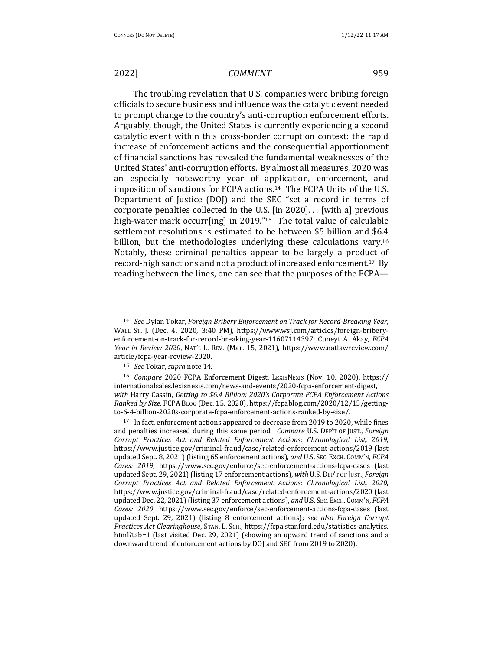The troubling revelation that U.S. companies were bribing foreign officials to secure business and influence was the catalytic event needed to prompt change to the country's anti-corruption enforcement efforts. Arguably, though, the United States is currently experiencing a second catalytic event within this cross-border corruption context: the rapid increase of enforcement actions and the consequential apportionment of financial sanctions has revealed the fundamental weaknesses of the United States' anti-corruption efforts. By almost all measures, 2020 was an especially noteworthy year of application, enforcement, and imposition of sanctions for FCPA actions.<sup>14</sup> The FCPA Units of the U.S. Department of Justice (DOJ) and the SEC "set a record in terms of corporate penalties collected in the U.S. [in 2020]... [with a] previous high-water mark occurr[ing] in 2019."<sup>15</sup> The total value of calculable settlement resolutions is estimated to be between \$5 billion and \$6.4 billion, but the methodologies underlying these calculations vary.<sup>16</sup> Notably, these criminal penalties appear to be largely a product of record-high sanctions and not a product of increased enforcement.<sup>17</sup> By reading between the lines, one can see that the purposes of the FCPA-

<sup>14</sup> *See* Dylan Tokar, *Foreign Bribery Enforcement on Track for Record-Breaking Year*, WALL ST. J. (Dec. 4, 2020, 3:40 PM), https://www.wsj.com/articles/foreign-briberyenforcement-on-track-for-record-breaking-year-11607114397; Cuneyt A. Akay, *FCPA Year in Review 2020*, NAT'L L. REV. (Mar. 15, 2021), https://www.natlawreview.com/ article/fcpa-year-review-2020. 

<sup>15</sup> *See* Tokar, *supra* note 14.

<sup>&</sup>lt;sup>16</sup> *Compare* 2020 FCPA Enforcement Digest, LEXISNEXIS (Nov. 10, 2020), https:// internationalsales.lexisnexis.com/news-and-events/2020-fcpa-enforcement-digest, *with* Harry Cassin, *Getting to* \$6.4 *Billion: 2020's Corporate FCPA Enforcement Actions Ranked by Size,* FCPA BLOG (Dec. 15, 2020), https://fcpablog.com/2020/12/15/gettingto-6-4-billion-2020s-corporate-fcpa-enforcement-actions-ranked-by-size/. 

 $17$  In fact, enforcement actions appeared to decrease from 2019 to 2020, while fines and penalties increased during this same period. *Compare* U.S. DEP'T OF JUST., *Foreign Corrupt Practices Act and Related Enforcement Actions: Chronological List, 2019*, https://www.justice.gov/criminal-fraud/case/related-enforcement-actions/2019 (last updated Sept. 8, 2021) (listing 65 enforcement actions), and U.S. SEC. ExcH. COMM'N, *FCPA Cases: 2019, https://www.sec.gov/enforce/sec-enforcement-actions-fcpa-cases* (last updated Sept. 29, 2021) (listing 17 enforcement actions), with U.S. DEP'T OF JUST., *Foreign Corrupt Practices Act and Related Enforcement Actions: Chronological List, 2020*, https://www.justice.gov/criminal-fraud/case/related-enforcement-actions/2020 (last updated Dec. 22, 2021) (listing 37 enforcement actions), and U.S. SEC. ExcH. COMM'N, *FCPA Cases: 2020*, https://www.sec.gov/enforce/sec-enforcement-actions-fcpa-cases (last updated Sept. 29, 2021) (listing 8 enforcement actions); see also *Foreign Corrupt Practices Act Clearinghouse*, STAN. L. SCH., https://fcpa.stanford.edu/statistics-analytics. html?tab=1 (last visited Dec. 29, 2021) (showing an upward trend of sanctions and a downward trend of enforcement actions by DOJ and SEC from 2019 to 2020).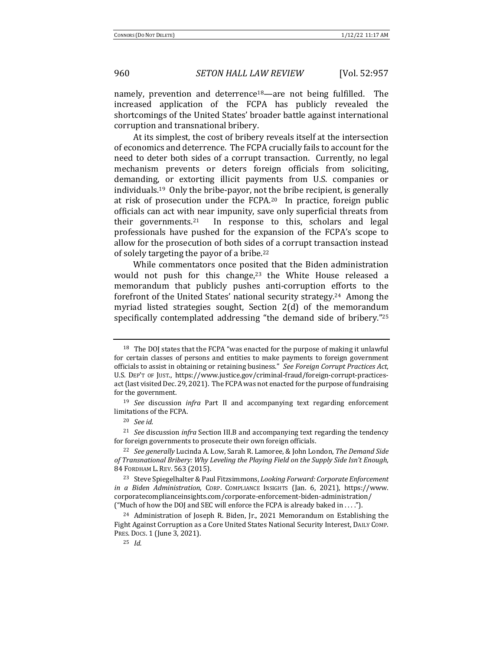namely, prevention and deterrence<sup>18</sup>—are not being fulfilled. The increased application of the FCPA has publicly revealed the shortcomings of the United States' broader battle against international corruption and transnational bribery.

At its simplest, the cost of bribery reveals itself at the intersection of economics and deterrence. The FCPA crucially fails to account for the need to deter both sides of a corrupt transaction. Currently, no legal mechanism prevents or deters foreign officials from soliciting, demanding, or extorting illicit payments from U.S. companies or individuals.<sup>19</sup> Only the bribe-payor, not the bribe recipient, is generally at risk of prosecution under the FCPA.<sup>20</sup> In practice, foreign public officials can act with near impunity, save only superficial threats from their governments.<sup>21</sup> In response to this, scholars and legal professionals have pushed for the expansion of the FCPA's scope to allow for the prosecution of both sides of a corrupt transaction instead of solely targeting the payor of a bribe.<sup>22</sup>

While commentators once posited that the Biden administration would not push for this change, $23$  the White House released a memorandum that publicly pushes anti-corruption efforts to the forefront of the United States' national security strategy.<sup>24</sup> Among the myriad listed strategies sought, Section 2(d) of the memorandum specifically contemplated addressing "the demand side of bribery."25

<sup>&</sup>lt;sup>18</sup> The DOJ states that the FCPA "was enacted for the purpose of making it unlawful for certain classes of persons and entities to make payments to foreign government officials to assist in obtaining or retaining business." See Foreign Corrupt Practices Act, U.S. DEP'T OF JUST., https://www.justice.gov/criminal-fraud/foreign-corrupt-practicesact (last visited Dec. 29, 2021). The FCPA was not enacted for the purpose of fundraising for the government.

<sup>&</sup>lt;sup>19</sup> *See* discussion *infra* Part II and accompanying text regarding enforcement limitations of the FCPA.

<sup>20</sup> *See id.* 

<sup>&</sup>lt;sup>21</sup> *See* discussion *infra* Section III.B and accompanying text regarding the tendency for foreign governments to prosecute their own foreign officials.

<sup>&</sup>lt;sup>22</sup> *See generally* Lucinda A. Low, Sarah R. Lamoree, & John London, *The Demand Side* of Transnational Bribery: Why Leveling the Playing Field on the Supply Side Isn't Enough, 84 FORDHAM L. REV. 563 (2015).

<sup>&</sup>lt;sup>23</sup> Steve Spiegelhalter & Paul Fitzsimmons, *Looking Forward: Corporate Enforcement in a Biden Administration*, CORP. COMPLIANCE INSIGHTS (Jan. 6, 2021), https://www. corporatecomplianceinsights.com/corporate-enforcement-biden-administration/ ("Much of how the DOJ and SEC will enforce the FCPA is already baked in ....").

 $24$  Administration of Joseph R. Biden, Jr., 2021 Memorandum on Establishing the Fight Against Corruption as a Core United States National Security Interest, DAILY COMP. PRES. Docs. 1 (June 3, 2021).

<sup>25</sup> *Id.*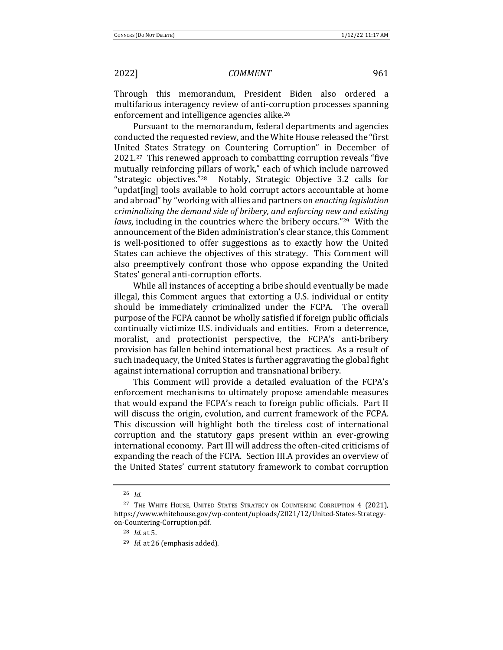Through this memorandum, President Biden also ordered a multifarious interagency review of anti-corruption processes spanning enforcement and intelligence agencies alike.<sup>26</sup>

Pursuant to the memorandum, federal departments and agencies conducted the requested review, and the White House released the "first United States Strategy on Countering Corruption" in December of  $2021.^{27}$  This renewed approach to combatting corruption reveals "five mutually reinforcing pillars of work," each of which include narrowed "strategic objectives."<sup>28</sup> Notably, Strategic Objective  $3.2$  calls for "updat[ing] tools available to hold corrupt actors accountable at home and abroad" by "working with allies and partners on *enacting legislation criminalizing the demand side of bribery, and enforcing new and existing laws*, including in the countries where the bribery occurs."<sup>29</sup> With the announcement of the Biden administration's clear stance, this Comment is well-positioned to offer suggestions as to exactly how the United States can achieve the objectives of this strategy. This Comment will also preemptively confront those who oppose expanding the United States' general anti-corruption efforts.

While all instances of accepting a bribe should eventually be made illegal, this Comment argues that extorting a U.S. individual or entity should be immediately criminalized under the FCPA. The overall purpose of the FCPA cannot be wholly satisfied if foreign public officials continually victimize U.S. individuals and entities. From a deterrence, moralist, and protectionist perspective, the FCPA's anti-bribery provision has fallen behind international best practices. As a result of such inadequacy, the United States is further aggravating the global fight against international corruption and transnational bribery.

This Comment will provide a detailed evaluation of the FCPA's enforcement mechanisms to ultimately propose amendable measures that would expand the FCPA's reach to foreign public officials. Part II will discuss the origin, evolution, and current framework of the FCPA. This discussion will highlight both the tireless cost of international corruption and the statutory gaps present within an ever-growing international economy. Part III will address the often-cited criticisms of expanding the reach of the FCPA. Section III.A provides an overview of the United States' current statutory framework to combat corruption

<sup>26</sup> *Id.*

<sup>&</sup>lt;sup>27</sup> THE WHITE HOUSE, UNITED STATES STRATEGY ON COUNTERING CORRUPTION 4 (2021), https://www.whitehouse.gov/wp-content/uploads/2021/12/United-States-Strategyon-Countering-Corruption.pdf. 

<sup>28</sup> *Id.* at 5. 

<sup>&</sup>lt;sup>29</sup> *Id.* at 26 (emphasis added).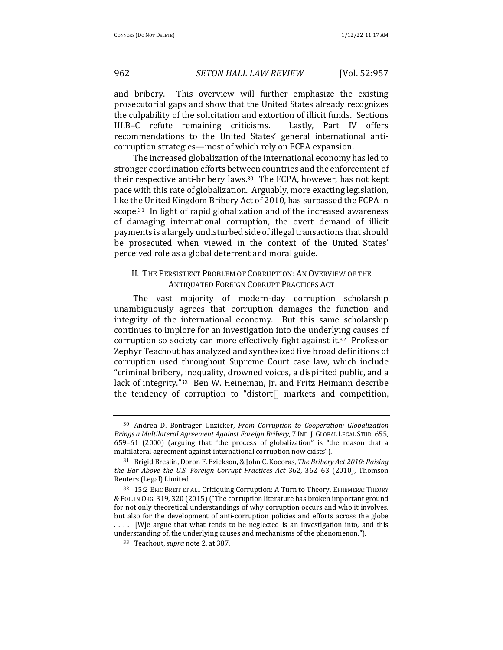and bribery. This overview will further emphasize the existing prosecutorial gaps and show that the United States already recognizes the culpability of the solicitation and extortion of illicit funds. Sections III.B–C refute remaining criticisms. Lastly, Part IV offers recommendations to the United States' general international anticorruption strategies—most of which rely on FCPA expansion.

The increased globalization of the international economy has led to stronger coordination efforts between countries and the enforcement of their respective anti-bribery laws.<sup>30</sup> The FCPA, however, has not kept pace with this rate of globalization. Arguably, more exacting legislation, like the United Kingdom Bribery Act of 2010, has surpassed the FCPA in scope.<sup>31</sup> In light of rapid globalization and of the increased awareness of damaging international corruption, the overt demand of illicit payments is a largely undisturbed side of illegal transactions that should be prosecuted when viewed in the context of the United States' perceived role as a global deterrent and moral guide.

#### II. THE PERSISTENT PROBLEM OF CORRUPTION: AN OVERVIEW OF THE **ANTIQUATED FOREIGN CORRUPT PRACTICES ACT**

The vast majority of modern-day corruption scholarship unambiguously agrees that corruption damages the function and integrity of the international economy. But this same scholarship continues to implore for an investigation into the underlying causes of corruption so society can more effectively fight against it.<sup>32</sup> Professor Zephyr Teachout has analyzed and synthesized five broad definitions of corruption used throughout Supreme Court case law, which include "criminal bribery, inequality, drowned voices, a dispirited public, and a lack of integrity."<sup>33</sup> Ben W. Heineman, Jr. and Fritz Heimann describe the tendency of corruption to "distort[] markets and competition,

<sup>&</sup>lt;sup>30</sup> Andrea D. Bontrager Unzicker, *From Corruption to Cooperation: Globalization Brings a Multilateral Agreement Against Foreign Bribery*, 7 IND. J. GLOBAL LEGAL STUD. 655, 659-61 (2000) (arguing that "the process of globalization" is "the reason that a multilateral agreement against international corruption now exists").

<sup>&</sup>lt;sup>31</sup> Brigid Breslin, Doron F. Ezickson, & John C. Kocoras, *The Bribery Act 2010: Raising the Bar Above the U.S. Foreign Corrupt Practices Act* 362, 362–63 (2010), Thomson Reuters (Legal) Limited.

<sup>&</sup>lt;sup>32</sup> 15:2 ERIC BREIT ET AL., Critiquing Corruption: A Turn to Theory, EPHEMERA: THEORY & POL. IN ORG. 319, 320 (2015) ("The corruption literature has broken important ground for not only theoretical understandings of why corruption occurs and who it involves, but also for the development of anti-corruption policies and efforts across the globe .... [W]e argue that what tends to be neglected is an investigation into, and this understanding of, the underlying causes and mechanisms of the phenomenon.").

<sup>&</sup>lt;sup>33</sup> Teachout, *supra* note 2, at 387.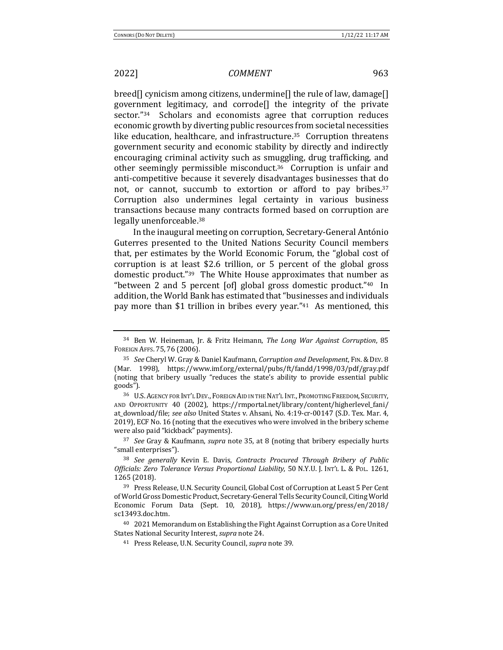breed[] cynicism among citizens, undermine[] the rule of law, damage[] government legitimacy, and corrode<sup>[]</sup> the integrity of the private sector."<sup>34</sup> Scholars and economists agree that corruption reduces economic growth by diverting public resources from societal necessities like education, healthcare, and infrastructure.<sup>35</sup> Corruption threatens government security and economic stability by directly and indirectly encouraging criminal activity such as smuggling, drug trafficking, and other seemingly permissible misconduct.<sup>36</sup> Corruption is unfair and anti-competitive because it severely disadvantages businesses that do not, or cannot, succumb to extortion or afford to pay bribes.<sup>37</sup> Corruption also undermines legal certainty in various business transactions because many contracts formed based on corruption are legally unenforceable.<sup>38</sup>

In the inaugural meeting on corruption, Secretary-General António Guterres presented to the United Nations Security Council members that, per estimates by the World Economic Forum, the "global cost of corruption is at least \$2.6 trillion, or 5 percent of the global gross domestic product."<sup>39</sup> The White House approximates that number as "between 2 and 5 percent  $\lceil$  of  $\rceil$  global gross domestic product."<sup>40</sup> In addition, the World Bank has estimated that "businesses and individuals pay more than \$1 trillion in bribes every year." $41$  As mentioned, this

36 U.S. AGENCY FOR INT'L DEV., FOREIGN AID IN THE NAT'L INT., PROMOTING FREEDOM, SECURITY, AND OPPORTUNITY 40 (2002), https://rmportal.net/library/content/higherlevel\_fani/ at\_download/file; see also United States v. Ahsani, No. 4:19-cr-00147 (S.D. Tex. Mar. 4, 2019), ECF No. 16 (noting that the executives who were involved in the bribery scheme were also paid "kickback" payments).

<sup>37</sup> *See* Gray & Kaufmann, *supra* note 35, at 8 (noting that bribery especially hurts "small enterprises").

<sup>38</sup> *See generally* Kevin E. Davis, *Contracts Procured Through Bribery of Public* Officials: Zero Tolerance Versus Proportional Liability, 50 N.Y.U. J. INT'L L. & PoL. 1261, 1265 (2018). 

<sup>&</sup>lt;sup>34</sup> Ben W. Heineman, Jr. & Fritz Heimann, *The Long War Against Corruption*, 85 FOREIGN AFFS. 75, 76 (2006).

<sup>35</sup> *See* Cheryl W. Gray & Daniel Kaufmann, *Corruption and Development*, FIN.&DEV. 8 (Mar. 1998), https://www.imf.org/external/pubs/ft/fandd/1998/03/pdf/gray.pdf (noting that bribery usually "reduces the state's ability to provide essential public goods").

<sup>39</sup> Press Release, U.N. Security Council, Global Cost of Corruption at Least 5 Per Cent of World Gross Domestic Product, Secretary-General Tells Security Council, Citing World Economic Forum Data (Sept. 10, 2018), https://www.un.org/press/en/2018/ sc13493.doc.htm. 

 $40\quad2021$  Memorandum on Establishing the Fight Against Corruption as a Core United States National Security Interest, *supra* note 24.

<sup>&</sup>lt;sup>41</sup> Press Release, U.N. Security Council, *supra* note 39.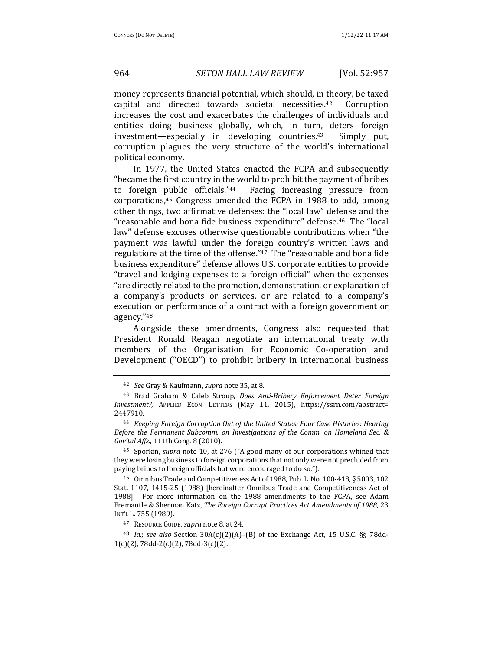money represents financial potential, which should, in theory, be taxed capital and directed towards societal necessities.<sup>42</sup> Corruption increases the cost and exacerbates the challenges of individuals and entities doing business globally, which, in turn, deters foreign investment—especially in developing countries.<sup>43</sup> Simply put, corruption plagues the very structure of the world's international political economy.

In 1977, the United States enacted the FCPA and subsequently "became the first country in the world to prohibit the payment of bribes to foreign public officials."<sup>44</sup> Facing increasing pressure from corporations,<sup>45</sup> Congress amended the FCPA in 1988 to add, among other things, two affirmative defenses: the "local law" defense and the "reasonable and bona fide business expenditure" defense.<sup>46</sup> The "local law" defense excuses otherwise questionable contributions when "the payment was lawful under the foreign country's written laws and regulations at the time of the offense."<sup>47</sup> The "reasonable and bona fide business expenditure" defense allows U.S. corporate entities to provide "travel and lodging expenses to a foreign official" when the expenses "are directly related to the promotion, demonstration, or explanation of a company's products or services, or are related to a company's execution or performance of a contract with a foreign government or agency."48

Alongside these amendments, Congress also requested that President Ronald Reagan negotiate an international treaty with members of the Organisation for Economic Co-operation and Development ("OECD") to prohibit bribery in international business

<sup>47</sup> RESOURCE GUIDE, *supra* note 8, at 24.

<sup>48</sup> *Id.*; see also Section  $30A(c)(2)(A)$ –(B) of the Exchange Act, 15 U.S.C. §§ 78dd- $1(c)(2)$ , 78dd-2(c)(2), 78dd-3(c)(2).

<sup>42</sup> *See* Gray & Kaufmann, *supra* note 35, at 8. 

<sup>&</sup>lt;sup>43</sup> Brad Graham & Caleb Stroup, *Does Anti-Bribery Enforcement Deter Foreign Investment?*, APPLIED ECON. LETTERS (May 11, 2015), https://ssrn.com/abstract= 2447910. 

<sup>&</sup>lt;sup>44</sup> *Keeping Foreign Corruption Out of the United States: Four Case Histories: Hearing* Before the Permanent Subcomm. on Investigations of the Comm. on Homeland Sec. & *Gov'tal Affs.*, 111th Cong. 8 (2010). 

<sup>&</sup>lt;sup>45</sup> Sporkin, *supra* note 10, at 276 ("A good many of our corporations whined that they were losing business to foreign corporations that not only were not precluded from paying bribes to foreign officials but were encouraged to do so.").

<sup>&</sup>lt;sup>46</sup> Omnibus Trade and Competitiveness Act of 1988, Pub. L. No. 100-418, § 5003, 102 Stat. 1107, 1415-25 (1988) [hereinafter Omnibus Trade and Competitiveness Act of 1988]. For more information on the 1988 amendments to the FCPA, see Adam Fremantle & Sherman Katz, *The Foreign Corrupt Practices Act Amendments of 1988*, 23 INT'L L. 755 (1989).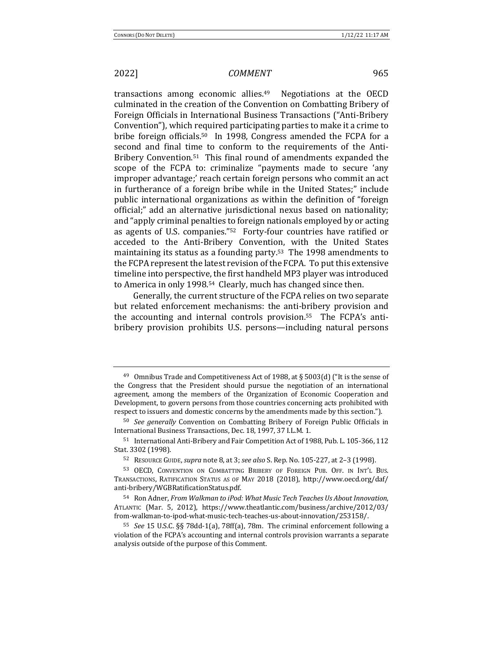transactions among economic allies.<sup>49</sup> Negotiations at the OECD culminated in the creation of the Convention on Combatting Bribery of Foreign Officials in International Business Transactions ("Anti-Bribery Convention"), which required participating parties to make it a crime to bribe foreign officials.<sup>50</sup> In 1998, Congress amended the FCPA for a second and final time to conform to the requirements of the Anti-Bribery Convention.<sup>51</sup> This final round of amendments expanded the scope of the FCPA to: criminalize "payments made to secure 'any improper advantage;' reach certain foreign persons who commit an act in furtherance of a foreign bribe while in the United States;" include public international organizations as within the definition of "foreign official;" add an alternative jurisdictional nexus based on nationality; and "apply criminal penalties to foreign nationals employed by or acting as agents of U.S. companies." $52$  Forty-four countries have ratified or acceded to the Anti-Bribery Convention, with the United States maintaining its status as a founding party.<sup>53</sup> The 1998 amendments to the FCPA represent the latest revision of the FCPA. To put this extensive timeline into perspective, the first handheld MP3 player was introduced to America in only 1998.<sup>54</sup> Clearly, much has changed since then.

Generally, the current structure of the FCPA relies on two separate but related enforcement mechanisms: the anti-bribery provision and the accounting and internal controls provision.<sup>55</sup> The FCPA's antibribery provision prohibits U.S. persons—including natural persons

<sup>&</sup>lt;sup>49</sup> Omnibus Trade and Competitiveness Act of 1988, at § 5003(d) ("It is the sense of the Congress that the President should pursue the negotiation of an international agreement, among the members of the Organization of Economic Cooperation and Development, to govern persons from those countries concerning acts prohibited with respect to issuers and domestic concerns by the amendments made by this section.").

<sup>&</sup>lt;sup>50</sup> *See generally* Convention on Combatting Bribery of Foreign Public Officials in International Business Transactions, Dec. 18, 1997, 37 I.L.M. 1.

<sup>51</sup> International Anti-Bribery and Fair Competition Act of 1988, Pub. L. 105-366, 112 Stat. 3302 (1998).

<sup>52</sup> RESOURCE GUIDE, *supra* note 8, at 3; *see also* S. Rep. No. 105-227, at 2-3 (1998).

<sup>53</sup> OECD, CONVENTION ON COMBATTING BRIBERY OF FOREIGN PUB. OFF. IN INT'L BUS. TRANSACTIONS, RATIFICATION STATUS AS OF MAY 2018 (2018), http://www.oecd.org/daf/ anti-bribery/WGBRatificationStatus.pdf. 

<sup>54</sup> Ron Adner, *From Walkman to iPod: What Music Tech Teaches Us About Innovation*, ATLANTIC (Mar. 5, 2012), https://www.theatlantic.com/business/archive/2012/03/ from-walkman-to-ipod-what-music-tech-teaches-us-about-innovation/253158/. 

<sup>&</sup>lt;sup>55</sup> *See* 15 U.S.C. §§ 78dd-1(a), 78ff(a), 78m. The criminal enforcement following a violation of the FCPA's accounting and internal controls provision warrants a separate analysis outside of the purpose of this Comment.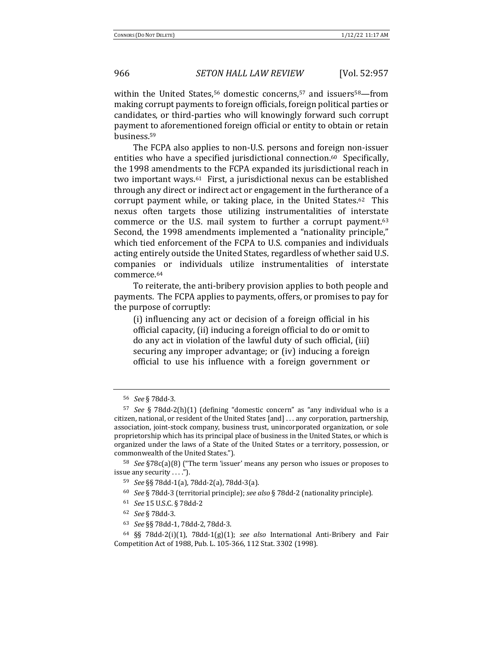within the United States,<sup>56</sup> domestic concerns,<sup>57</sup> and issuers<sup>58</sup>—from making corrupt payments to foreign officials, foreign political parties or candidates, or third-parties who will knowingly forward such corrupt payment to aforementioned foreign official or entity to obtain or retain business.59 

The FCPA also applies to non-U.S. persons and foreign non-issuer entities who have a specified jurisdictional connection.<sup>60</sup> Specifically, the 1998 amendments to the FCPA expanded its jurisdictional reach in two important ways.<sup>61</sup> First, a jurisdictional nexus can be established through any direct or indirect act or engagement in the furtherance of a corrupt payment while, or taking place, in the United States.<sup>62</sup> This nexus often targets those utilizing instrumentalities of interstate commerce or the U.S. mail system to further a corrupt payment. $63$ Second, the 1998 amendments implemented a "nationality principle," which tied enforcement of the FCPA to U.S. companies and individuals acting entirely outside the United States, regardless of whether said U.S. companies or individuals utilize instrumentalities of interstate commerce.64

To reiterate, the anti-bribery provision applies to both people and payments. The FCPA applies to payments, offers, or promises to pay for the purpose of corruptly:

(i) influencing any act or decision of a foreign official in his official capacity, (ii) inducing a foreign official to do or omit to do any act in violation of the lawful duty of such official, (iii) securing any improper advantage; or (iv) inducing a foreign official to use his influence with a foreign government or

- <sup>60</sup> *See* § 78dd-3 (territorial principle); *see also* § 78dd-2 (nationality principle).
- <sup>61</sup> *See* 15 U.S.C. § 78dd-2
- <sup>62</sup> *See* § 78dd-3.
- <sup>63</sup> *See* §§ 78dd-1, 78dd-2, 78dd-3.

<sup>56</sup> *See* § 78dd-3.

<sup>&</sup>lt;sup>57</sup> *See* § 78dd-2(h)(1) (defining "domestic concern" as "any individual who is a citizen, national, or resident of the United States [and] ... any corporation, partnership, association, joint-stock company, business trust, unincorporated organization, or sole proprietorship which has its principal place of business in the United States, or which is organized under the laws of a State of the United States or a territory, possession, or commonwealth of the United States.").

<sup>&</sup>lt;sup>58</sup> *See* §78c(a)(8) ("The term 'issuer' means any person who issues or proposes to issue any security . . . .").

<sup>59</sup> *See* §§ 78dd-1(a), 78dd-2(a), 78dd-3(a). 

<sup>&</sup>lt;sup>64</sup> §§ 78dd-2(i)(1), 78dd-1(g)(1); see also International Anti-Bribery and Fair Competition Act of 1988, Pub. L. 105-366, 112 Stat. 3302 (1998).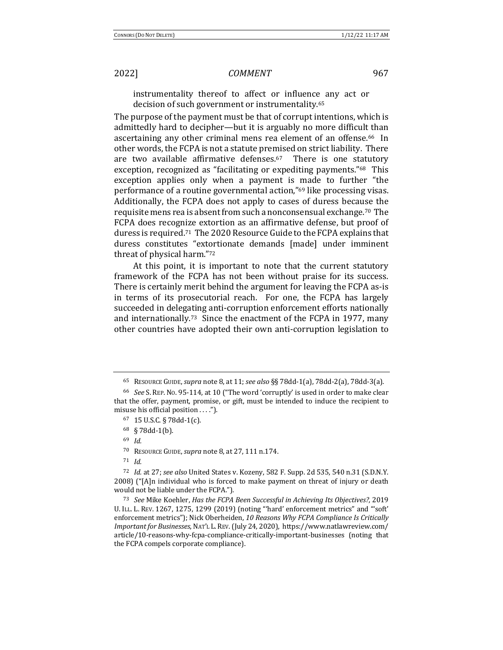instrumentality thereof to affect or influence any act or decision of such government or instrumentality.<sup>65</sup>

The purpose of the payment must be that of corrupt intentions, which is admittedly hard to decipher—but it is arguably no more difficult than ascertaining any other criminal mens rea element of an offense.<sup>66</sup> In other words, the FCPA is not a statute premised on strict liability. There are two available affirmative defenses.<sup>67</sup> There is one statutory exception, recognized as "facilitating or expediting payments."<sup>68</sup> This exception applies only when a payment is made to further "the performance of a routine governmental action,"<sup>69</sup> like processing visas. Additionally, the FCPA does not apply to cases of duress because the requisite mens rea is absent from such a nonconsensual exchange.<sup>70</sup> The FCPA does recognize extortion as an affirmative defense, but proof of duress is required.<sup>71</sup> The 2020 Resource Guide to the FCPA explains that duress constitutes "extortionate demands [made] under imminent threat of physical harm."72

At this point, it is important to note that the current statutory framework of the FCPA has not been without praise for its success. There is certainly merit behind the argument for leaving the FCPA as-is in terms of its prosecutorial reach. For one, the FCPA has largely succeeded in delegating anti-corruption enforcement efforts nationally and internationally.<sup>73</sup> Since the enactment of the FCPA in 1977, many other countries have adopted their own anti-corruption legislation to

 $68 \& 78$ dd-1(b).

<sup>70</sup> RESOURCE GUIDE, *supra* note 8, at 27, 111 n.174.

<sup>71</sup> *Id.*

<sup>65</sup> RESOURCE GUIDE, *supra* note 8, at 11; *see also* §§ 78dd-1(a), 78dd-2(a), 78dd-3(a).

<sup>&</sup>lt;sup>66</sup> *See* S. REP. No. 95-114, at 10 ("The word 'corruptly' is used in order to make clear that the offer, payment, promise, or gift, must be intended to induce the recipient to misuse his official position . . . .").

<sup>67</sup> 15 U.S.C. § 78dd-1(c).

<sup>69</sup> *Id.*

<sup>72</sup> *Id.* at 27; *see also* United States v. Kozeny, 582 F. Supp. 2d 535, 540 n.31 (S.D.N.Y.) 2008)  $("A]n$  individual who is forced to make payment on threat of injury or death would not be liable under the FCPA.").

<sup>73</sup> *See* Mike Koehler, *Has the FCPA Been Successful in Achieving Its Objectives?*, 2019 U. I.L. L. REV. 1267, 1275, 1299 (2019) (noting "'hard' enforcement metrics" and "'soft' enforcement metrics"); Nick Oberheiden, 10 Reasons Why FCPA Compliance Is Critically *Important for Businesses*, NAT'L L.REV.(July 24, 2020), https://www.natlawreview.com/ article/10-reasons-why-fcpa-compliance-critically-important-businesses (noting that the FCPA compels corporate compliance).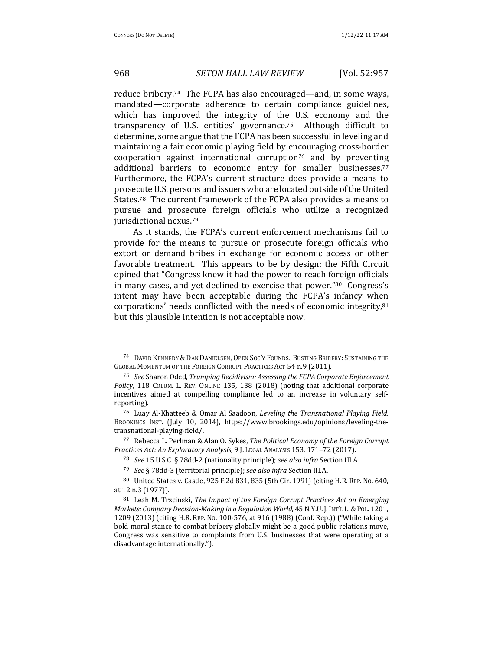reduce bribery.<sup>74</sup> The FCPA has also encouraged—and, in some ways, mandated—corporate adherence to certain compliance guidelines, which has improved the integrity of the U.S. economy and the transparency of U.S. entities' governance.<sup>75</sup> Although difficult to determine, some argue that the FCPA has been successful in leveling and maintaining a fair economic playing field by encouraging cross-border cooperation against international corruption<sup>76</sup> and by preventing additional barriers to economic entry for smaller businesses.<sup>77</sup> Furthermore, the FCPA's current structure does provide a means to prosecute U.S. persons and issuers who are located outside of the United States.<sup>78</sup> The current framework of the FCPA also provides a means to pursue and prosecute foreign officials who utilize a recognized jurisdictional nexus.<sup>79</sup>

As it stands, the FCPA's current enforcement mechanisms fail to provide for the means to pursue or prosecute foreign officials who extort or demand bribes in exchange for economic access or other favorable treatment. This appears to be by design: the Fifth Circuit opined that "Congress knew it had the power to reach foreign officials in many cases, and yet declined to exercise that power." $80$  Congress's intent may have been acceptable during the FCPA's infancy when corporations' needs conflicted with the needs of economic integrity, $81$ but this plausible intention is not acceptable now.

<sup>77</sup> Rebecca L. Perlman & Alan O. Sykes, *The Political Economy of the Foreign Corrupt* Practices Act: An Exploratory Analysis, 9 J. LEGAL ANALYSIS 153, 171-72 (2017).

<sup>&</sup>lt;sup>74</sup> DAVID KENNEDY & DAN DANIELSEN, OPEN SOC'Y FOUNDS., BUSTING BRIBERY: SUSTAINING THE GLOBAL MOMENTUM OF THE FOREIGN CORRUPT PRACTICES ACT 54 n.9 (2011).

<sup>75</sup> *See* Sharon Oded, *Trumping Recidivism: Assessing the FCPA Corporate Enforcement Policy*, 118 COLUM. L. REV. ONLINE 135, 138 (2018) (noting that additional corporate incentives aimed at compelling compliance led to an increase in voluntary selfreporting). 

<sup>76</sup> Luay Al-Khatteeb & Omar Al Saadoon, *Leveling the Transnational Playing Field*, BROOKINGS INST. (July 10, 2014), https://www.brookings.edu/opinions/leveling-thetransnational-playing-field/.

<sup>&</sup>lt;sup>78</sup> *See* 15 U.S.C. § 78dd-2 (nationality principle); see also infra Section III.A.

<sup>&</sup>lt;sup>79</sup> *See* § 78dd-3 (territorial principle); *see also infra* Section III.A.

<sup>80</sup> United States v. Castle, 925 F.2d 831, 835 (5th Cir. 1991) (citing H.R. REP. No. 640, at 12 n.3 (1977)).

<sup>81</sup> Leah M. Trzcinski, *The Impact of the Foreign Corrupt Practices Act on Emerging Markets: Company Decision-Making in a Regulation World*, 45 N.Y.U. J. INT'L L. & PoL. 1201, 1209 (2013) (citing H.R. REP. No. 100-576, at 916 (1988) (Conf. Rep.)) ("While taking a bold moral stance to combat bribery globally might be a good public relations move, Congress was sensitive to complaints from U.S. businesses that were operating at a disadvantage internationally.").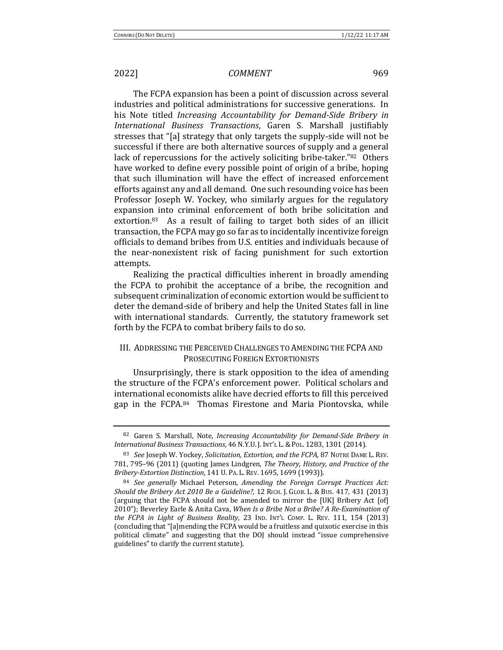The FCPA expansion has been a point of discussion across several industries and political administrations for successive generations. In his Note titled *Increasing Accountability for Demand-Side Bribery in International Business Transactions*, Garen S. Marshall justifiably stresses that "[a] strategy that only targets the supply-side will not be successful if there are both alternative sources of supply and a general lack of repercussions for the actively soliciting bribe-taker."82 Others have worked to define every possible point of origin of a bribe, hoping that such illumination will have the effect of increased enforcement efforts against any and all demand. One such resounding voice has been Professor Joseph W. Yockey, who similarly argues for the regulatory expansion into criminal enforcement of both bribe solicitation and extortion. $83$  As a result of failing to target both sides of an illicit transaction, the FCPA may go so far as to incidentally incentivize foreign officials to demand bribes from U.S. entities and individuals because of the near-nonexistent risk of facing punishment for such extortion attempts. 

Realizing the practical difficulties inherent in broadly amending the FCPA to prohibit the acceptance of a bribe, the recognition and subsequent criminalization of economic extortion would be sufficient to deter the demand-side of bribery and help the United States fall in line with international standards. Currently, the statutory framework set forth by the FCPA to combat bribery fails to do so.

### III. ADDRESSING THE PERCEIVED CHALLENGES TO AMENDING THE FCPA AND PROSECUTING FOREIGN EXTORTIONISTS

Unsurprisingly, there is stark opposition to the idea of amending the structure of the FCPA's enforcement power. Political scholars and international economists alike have decried efforts to fill this perceived gap in the FCPA.84 Thomas Firestone and Maria Piontovska, while

<sup>&</sup>lt;sup>82</sup> Garen S. Marshall, Note, *Increasing Accountability for Demand-Side Bribery in International Business Transactions*, 46 N.Y.U. J. INT'L L.&POL. 1283, 1301 (2014). 

<sup>83</sup> *See* Joseph W. Yockey, *Solicitation, Extortion, and the FCPA*, 87 NOTRE DAME L. REV. 781, 795-96 (2011) (quoting James Lindgren, *The Theory, History, and Practice of the Bribery-Extortion Distinction*, 141 U. PA. L. REV. 1695, 1699 (1993)).

<sup>84</sup> See generally Michael Peterson, *Amending the Foreign Corrupt Practices Act: Should the Bribery Act 2010 Be a Guideline?*, 12 RICH. J. GLOB. L. & BUS. 417, 431 (2013) (arguing that the FCPA should not be amended to mirror the [UK] Bribery Act [of] 2010"); Beverley Earle & Anita Cava, When Is a Bribe Not a Bribe? A Re-Examination of *the FCPA in Light of Business Reality*, 23 IND. INT'L COMP. L. REV. 111, 154 (2013) (concluding that "[a]mending the FCPA would be a fruitless and quixotic exercise in this political climate" and suggesting that the DOJ should instead "issue comprehensive guidelines" to clarify the current statute).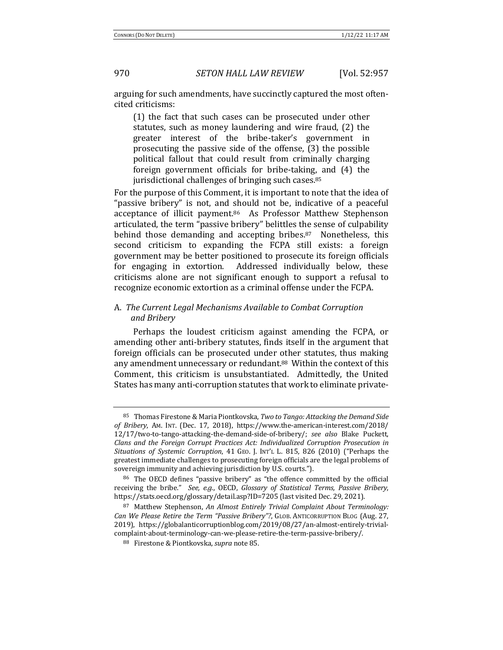arguing for such amendments, have succinctly captured the most oftencited criticisms: 

 $(1)$  the fact that such cases can be prosecuted under other statutes, such as money laundering and wire fraud, (2) the greater interest of the bribe-taker's government in prosecuting the passive side of the offense,  $(3)$  the possible political fallout that could result from criminally charging foreign government officials for bribe-taking, and (4) the jurisdictional challenges of bringing such cases.<sup>85</sup>

For the purpose of this Comment, it is important to note that the idea of "passive bribery" is not, and should not be, indicative of a peaceful acceptance of illicit payment.<sup>86</sup> As Professor Matthew Stephenson articulated, the term "passive bribery" belittles the sense of culpability behind those demanding and accepting bribes. $87$  Nonetheless, this second criticism to expanding the FCPA still exists: a foreign government may be better positioned to prosecute its foreign officials for engaging in extortion. Addressed individually below, these criticisms alone are not significant enough to support a refusal to recognize economic extortion as a criminal offense under the FCPA.

### A. The Current Legal Mechanisms Available to Combat Corruption *and Bribery*

Perhaps the loudest criticism against amending the FCPA, or amending other anti-bribery statutes, finds itself in the argument that foreign officials can be prosecuted under other statutes, thus making any amendment unnecessary or redundant.<sup>88</sup> Within the context of this Comment, this criticism is unsubstantiated. Admittedly, the United States has many anti-corruption statutes that work to eliminate private-

<sup>&</sup>lt;sup>85</sup> Thomas Firestone & Maria Piontkovska, *Two to Tango: Attacking the Demand Side of Bribery*, AM. INT. (Dec. 17, 2018), https://www.the-american-interest.com/2018/ 12/17/two-to-tango-attacking-the-demand-side-of-bribery/; *see also* Blake Puckett, Clans and the Foreign Corrupt Practices Act: Individualized Corruption Prosecution in Situations of Systemic Corruption, 41 GEO. J. INT'L L. 815, 826 (2010) ("Perhaps the greatest immediate challenges to prosecuting foreign officials are the legal problems of sovereign immunity and achieving jurisdiction by U.S. courts.").

 $86$  The OECD defines "passive bribery" as "the offence committed by the official receiving the bribe." See, e.g., OECD, *Glossary of Statistical Terms, Passive Bribery*, https://stats.oecd.org/glossary/detail.asp?ID=7205 (last visited Dec. 29, 2021).

<sup>87</sup> Matthew Stephenson, An Almost Entirely Trivial Complaint About Terminology: *Can* We Please Retire the Term "Passive Bribery"?, GLOB. ANTICORRUPTION BLOG (Aug. 27, 2019), https://globalanticorruptionblog.com/2019/08/27/an-almost-entirely-trivialcomplaint-about-terminology-can-we-please-retire-the-term-passive-bribery/. 

<sup>88</sup> Firestone & Piontkovska, *supra* note 85.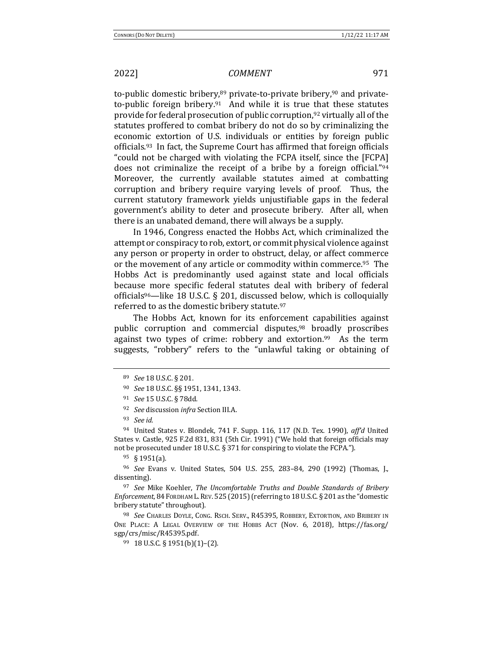to-public domestic bribery, $89$  private-to-private bribery, $90$  and privateto-public foreign bribery.<sup>91</sup> And while it is true that these statutes provide for federal prosecution of public corruption,<sup>92</sup> virtually all of the statutes proffered to combat bribery do not do so by criminalizing the economic extortion of U.S. individuals or entities by foreign public officials.<sup>93</sup> In fact, the Supreme Court has affirmed that foreign officials "could not be charged with violating the FCPA itself, since the [FCPA] does not criminalize the receipt of a bribe by a foreign official."<sup>94</sup> Moreover, the currently available statutes aimed at combatting corruption and bribery require varying levels of proof. Thus, the current statutory framework yields unjustifiable gaps in the federal government's ability to deter and prosecute bribery. After all, when there is an unabated demand, there will always be a supply.

In 1946, Congress enacted the Hobbs Act, which criminalized the attempt or conspiracy to rob, extort, or commit physical violence against any person or property in order to obstruct, delay, or affect commerce or the movement of any article or commodity within commerce.<sup>95</sup> The Hobbs Act is predominantly used against state and local officials because more specific federal statutes deal with bribery of federal officials<sup>96</sup>—like 18 U.S.C. § 201, discussed below, which is colloquially referred to as the domestic bribery statute.97

The Hobbs Act, known for its enforcement capabilities against public corruption and commercial disputes,<sup>98</sup> broadly proscribes against two types of crime: robbery and extortion.<sup>99</sup> As the term suggests, "robbery" refers to the "unlawful taking or obtaining of

<sup>94</sup> United States v. Blondek, 741 F. Supp. 116, 117 (N.D. Tex. 1990), *aff'd* United States v. Castle,  $925$  F.2d  $831$ ,  $831$  (5th Cir. 1991) ("We hold that foreign officials may not be prosecuted under 18 U.S.C.  $\S 371$  for conspiring to violate the FCPA.").

<sup>95</sup> § 1951(a).

<sup>96</sup> *See* Evans v. United States, 504 U.S. 255, 283-84, 290 (1992) (Thomas, J., dissenting).

<sup>97</sup> See Mike Koehler, The Uncomfortable Truths and Double Standards of Bribery Enforcement, 84 FORDHAM L. REV. 525 (2015) (referring to 18 U.S.C. § 201 as the "domestic bribery statute" throughout).

98 *See* Charles Doyle, Cong. Rsch. Serv., R45395, Robbery, Extortion, and Bribery in ONE PLACE: A LEGAL OVERVIEW OF THE HOBBS ACT (Nov. 6, 2018), https://fas.org/ sgp/crs/misc/R45395.pdf. 

<sup>89</sup> *See* 18 U.S.C. § 201.

<sup>90</sup> *See* 18 U.S.C. §§ 1951, 1341, 1343.

<sup>&</sup>lt;sup>91</sup> *See* 15 U.S.C. § 78dd.

<sup>&</sup>lt;sup>92</sup> *See* discussion *infra* Section III.A.

<sup>93</sup> *See id.*

 $99$  18 U.S.C. § 1951(b)(1)–(2).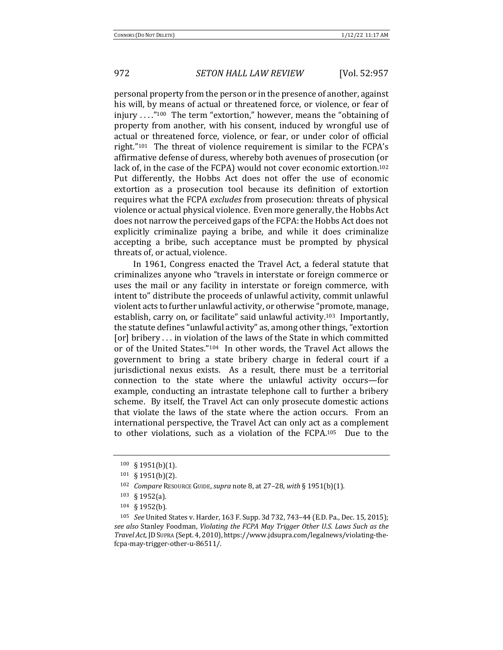personal property from the person or in the presence of another, against his will, by means of actual or threatened force, or violence, or fear of injury  $\ldots$ "<sup>100</sup> The term "extortion," however, means the "obtaining of property from another, with his consent, induced by wrongful use of actual or threatened force, violence, or fear, or under color of official right." $101$  The threat of violence requirement is similar to the FCPA's affirmative defense of duress, whereby both avenues of prosecution (or lack of, in the case of the FCPA) would not cover economic extortion.<sup>102</sup> Put differently, the Hobbs Act does not offer the use of economic extortion as a prosecution tool because its definition of extortion requires what the FCPA *excludes* from prosecution: threats of physical violence or actual physical violence. Even more generally, the Hobbs Act does not narrow the perceived gaps of the FCPA: the Hobbs Act does not explicitly criminalize paying a bribe, and while it does criminalize accepting a bribe, such acceptance must be prompted by physical threats of, or actual, violence.

In 1961, Congress enacted the Travel Act, a federal statute that criminalizes anyone who "travels in interstate or foreign commerce or uses the mail or any facility in interstate or foreign commerce, with intent to" distribute the proceeds of unlawful activity, commit unlawful violent acts to further unlawful activity, or otherwise "promote, manage, establish, carry on, or facilitate" said unlawful activity.<sup>103</sup> Importantly, the statute defines "unlawful activity" as, among other things, "extortion [or] bribery ... in violation of the laws of the State in which committed or of the United States."<sup>104</sup> In other words, the Travel Act allows the government to bring a state bribery charge in federal court if a jurisdictional nexus exists. As a result, there must be a territorial connection to the state where the unlawful activity occurs—for example, conducting an intrastate telephone call to further a bribery scheme. By itself, the Travel Act can only prosecute domestic actions that violate the laws of the state where the action occurs. From an international perspective, the Travel Act can only act as a complement to other violations, such as a violation of the  $FCPA$ .<sup>105</sup> Due to the

<sup>100 § 1951(</sup>b)(1).

<sup>101 § 1951(</sup>b)(2).

<sup>102</sup> *Compare* RESOURCE GUIDE, *supra* note 8, at 27-28, with § 1951(b)(1).

<sup>103</sup> § 1952(a). 

<sup>104</sup> § 1952(b). 

<sup>105</sup> *See* United States v. Harder, 163 F. Supp. 3d 732, 743-44 (E.D. Pa., Dec. 15, 2015); see also Stanley Foodman, *Violating the FCPA May Trigger Other U.S. Laws Such as the Travel Act*, JD Supra (Sept. 4, 2010), https://www.jdsupra.com/legalnews/violating-thefcpa-may-trigger-other-u-86511/.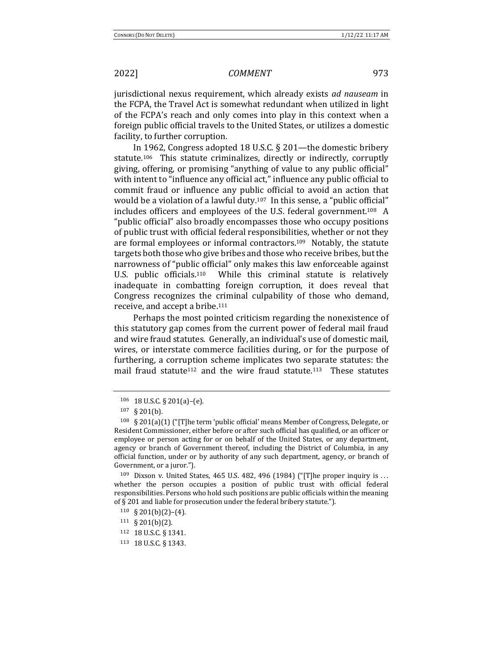jurisdictional nexus requirement, which already exists *ad nauseam* in the FCPA, the Travel Act is somewhat redundant when utilized in light of the FCPA's reach and only comes into play in this context when a foreign public official travels to the United States, or utilizes a domestic facility, to further corruption.

In 1962, Congress adopted 18 U.S.C.  $\S$  201—the domestic bribery statute.<sup>106</sup> This statute criminalizes, directly or indirectly, corruptly giving, offering, or promising "anything of value to any public official" with intent to "influence any official act," influence any public official to commit fraud or influence any public official to avoid an action that would be a violation of a lawful duty.<sup>107</sup> In this sense, a "public official" includes officers and employees of the U.S. federal government.<sup>108</sup> A "public official" also broadly encompasses those who occupy positions of public trust with official federal responsibilities, whether or not they are formal employees or informal contractors.<sup>109</sup> Notably, the statute targets both those who give bribes and those who receive bribes, but the narrowness of "public official" only makes this law enforceable against U.S. public officials.<sup>110</sup> While this criminal statute is relatively inadequate in combatting foreign corruption, it does reveal that Congress recognizes the criminal culpability of those who demand, receive, and accept a bribe.<sup>111</sup>

Perhaps the most pointed criticism regarding the nonexistence of this statutory gap comes from the current power of federal mail fraud and wire fraud statutes. Generally, an individual's use of domestic mail, wires, or interstate commerce facilities during, or for the purpose of furthering, a corruption scheme implicates two separate statutes: the mail fraud statute<sup>112</sup> and the wire fraud statute.<sup>113</sup> These statutes

 $106$  18 U.S.C. § 201(a)–(e).

 $107 \& 201(b)$ .

 $108\quad$  § 201(a)(1) ("[T]he term 'public official' means Member of Congress, Delegate, or Resident Commissioner, either before or after such official has qualified, or an officer or employee or person acting for or on behalf of the United States, or any department, agency or branch of Government thereof, including the District of Columbia, in any official function, under or by authority of any such department, agency, or branch of Government, or a juror.").

 $109$  Dixson v. United States, 465 U.S. 482, 496 (1984) ("[T]he proper inquiry is ... whether the person occupies a position of public trust with official federal responsibilities. Persons who hold such positions are public officials within the meaning of § 201 and liable for prosecution under the federal bribery statute.").

 $110 \quad \text{S} \quad 201(b)(2)-(4).$ 

 $111 \S 201(b)(2)$ .

<sup>112 18</sup> U.S.C. § 1341.

<sup>113 18</sup> U.S.C. § 1343.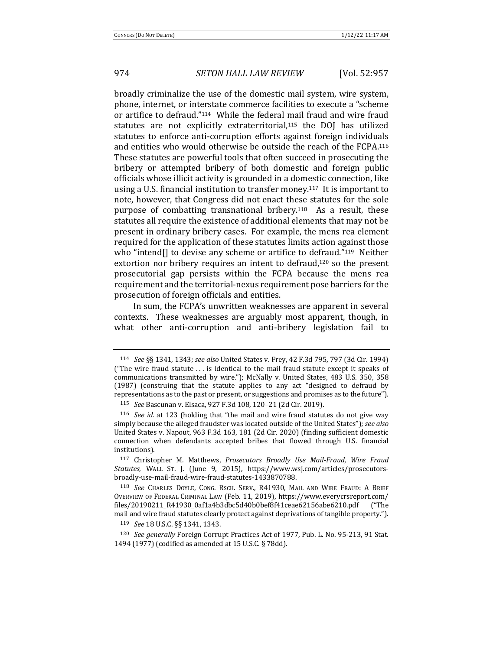broadly criminalize the use of the domestic mail system, wire system, phone, internet, or interstate commerce facilities to execute a "scheme or artifice to defraud."<sup>114</sup> While the federal mail fraud and wire fraud statutes are not explicitly extraterritorial,<sup>115</sup> the DOJ has utilized statutes to enforce anti-corruption efforts against foreign individuals and entities who would otherwise be outside the reach of the FCPA.<sup>116</sup> These statutes are powerful tools that often succeed in prosecuting the bribery or attempted bribery of both domestic and foreign public officials whose illicit activity is grounded in a domestic connection, like using a U.S. financial institution to transfer money.<sup>117</sup> It is important to note, however, that Congress did not enact these statutes for the sole purpose of combatting transnational bribery.<sup>118</sup> As a result, these statutes all require the existence of additional elements that may not be present in ordinary bribery cases. For example, the mens rea element required for the application of these statutes limits action against those who "intend $[]$  to devise any scheme or artifice to defraud."<sup>119</sup> Neither extortion nor bribery requires an intent to defraud, $120$  so the present prosecutorial gap persists within the FCPA because the mens rea requirement and the territorial-nexus requirement pose barriers for the prosecution of foreign officials and entities.

In sum, the FCPA's unwritten weaknesses are apparent in several contexts. These weaknesses are arguably most apparent, though, in what other anti-corruption and anti-bribery legislation fail to

119 *See* 18 U.S.C. §§ 1341, 1343.

<sup>114</sup> *See* §§ 1341, 1343; *see also* United States v. Frey, 42 F.3d 795, 797 (3d Cir. 1994) ("The wire fraud statute  $\ldots$  is identical to the mail fraud statute except it speaks of communications transmitted by wire."); McNally v. United States, 483 U.S. 350, 358  $(1987)$  (construing that the statute applies to any act "designed to defraud by representations as to the past or present, or suggestions and promises as to the future").

<sup>115</sup> *See* Bascunan v. Elsaca, 927 F.3d 108, 120-21 (2d Cir. 2019).

<sup>&</sup>lt;sup>116</sup> *See id.* at 123 (holding that "the mail and wire fraud statutes do not give way simply because the alleged fraudster was located outside of the United States"); see also United States v. Napout, 963 F.3d 163, 181 (2d Cir. 2020) (finding sufficient domestic connection when defendants accepted bribes that flowed through U.S. financial institutions). 

<sup>&</sup>lt;sup>117</sup> Christopher M. Matthews, *Prosecutors Broadly Use Mail-Fraud, Wire Fraud Statutes*, WALL ST. J. (June 9, 2015), https://www.wsj.com/articles/prosecutorsbroadly-use-mail-fraud-wire-fraud-statutes-1433870788. 

<sup>118</sup> See Charles Doyle, Cong. Rsch. Serv., R41930, Mail and Wire Fraud: A Brief OVERVIEW OF FEDERAL CRIMINAL LAW (Feb. 11, 2019), https://www.everycrsreport.com/ files/20190211\_R41930\_0af1a4b3dbc5d40b0bef8f41ceae62156abe6210.pdf ("The mail and wire fraud statutes clearly protect against deprivations of tangible property.").

<sup>&</sup>lt;sup>120</sup> *See generally* Foreign Corrupt Practices Act of 1977, Pub. L. No. 95-213, 91 Stat. 1494 (1977) (codified as amended at 15 U.S.C. § 78dd).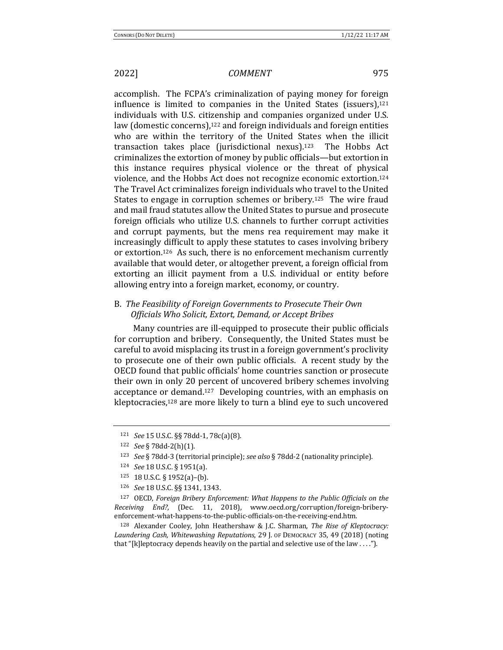accomplish. The FCPA's criminalization of paying money for foreign influence is limited to companies in the United States (issuers), $121$ individuals with U.S. citizenship and companies organized under U.S. law (domestic concerns), $122$  and foreign individuals and foreign entities who are within the territory of the United States when the illicit transaction takes place (jurisdictional nexus).<sup>123</sup> The Hobbs Act criminalizes the extortion of money by public officials—but extortion in this instance requires physical violence or the threat of physical violence, and the Hobbs Act does not recognize economic extortion.<sup>124</sup> The Travel Act criminalizes foreign individuals who travel to the United States to engage in corruption schemes or bribery.<sup>125</sup> The wire fraud and mail fraud statutes allow the United States to pursue and prosecute foreign officials who utilize U.S. channels to further corrupt activities and corrupt payments, but the mens rea requirement may make it increasingly difficult to apply these statutes to cases involving bribery or extortion.<sup>126</sup> As such, there is no enforcement mechanism currently available that would deter, or altogether prevent, a foreign official from extorting an illicit payment from a U.S. individual or entity before allowing entry into a foreign market, economy, or country.

### B. The Feasibility of Foreign Governments to Prosecute Their Own *Officials Who Solicit, Extort, Demand, or Accept Bribes*

Many countries are ill-equipped to prosecute their public officials for corruption and bribery. Consequently, the United States must be careful to avoid misplacing its trust in a foreign government's proclivity to prosecute one of their own public officials. A recent study by the OECD found that public officials' home countries sanction or prosecute their own in only 20 percent of uncovered bribery schemes involving acceptance or demand.<sup>127</sup> Developing countries, with an emphasis on kleptocracies, $128$  are more likely to turn a blind eye to such uncovered

128 Alexander Cooley, John Heathershaw & J.C. Sharman, *The Rise of Kleptocracy:* Laundering Cash, Whitewashing Reputations, 29 J. of DEMOCRACY 35, 49 (2018) (noting that "[k]leptocracy depends heavily on the partial and selective use of the law ....").

<sup>121</sup> *See* 15 U.S.C. §§ 78dd-1, 78c(a)(8). 

<sup>122</sup> *See* § 78dd-2(h)(1).

<sup>&</sup>lt;sup>123</sup> *See* § 78dd-3 (territorial principle); *see also* § 78dd-2 (nationality principle).

<sup>124</sup> *See* 18 U.S.C. § 1951(a). 

<sup>125 18</sup> U.S.C. § 1952(a)-(b).

<sup>126</sup> *See* 18 U.S.C. §§ 1341, 1343.

<sup>&</sup>lt;sup>127</sup> OECD, *Foreign Bribery Enforcement: What Happens to the Public Officials on the Receiving End?*, (Dec. 11, 2018), www.oecd.org/corruption/foreign-briberyenforcement-what-happens-to-the-public-officials-on-the-receiving-end.htm.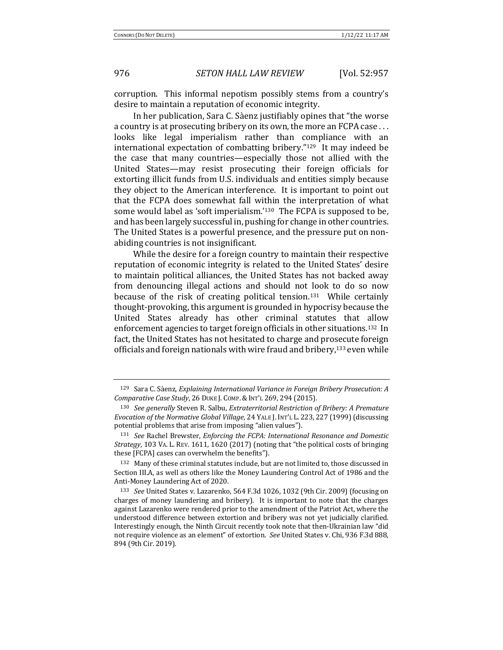corruption. This informal nepotism possibly stems from a country's desire to maintain a reputation of economic integrity.

In her publication, Sara C. Sàenz justifiably opines that "the worse a country is at prosecuting bribery on its own, the more an FCPA case ... looks like legal imperialism rather than compliance with an international expectation of combatting bribery." $129$  It may indeed be the case that many countries—especially those not allied with the United States—may resist prosecuting their foreign officials for extorting illicit funds from U.S. individuals and entities simply because they object to the American interference. It is important to point out that the FCPA does somewhat fall within the interpretation of what some would label as 'soft imperialism.'<sup>130</sup> The FCPA is supposed to be, and has been largely successful in, pushing for change in other countries. The United States is a powerful presence, and the pressure put on nonabiding countries is not insignificant.

While the desire for a foreign country to maintain their respective reputation of economic integrity is related to the United States' desire to maintain political alliances, the United States has not backed away from denouncing illegal actions and should not look to do so now because of the risk of creating political tension.<sup>131</sup> While certainly thought-provoking, this argument is grounded in hypocrisy because the United States already has other criminal statutes that allow enforcement agencies to target foreign officials in other situations.<sup>132</sup> In fact, the United States has not hesitated to charge and prosecute foreign officials and foreign nationals with wire fraud and bribery,<sup>133</sup> even while

<sup>&</sup>lt;sup>129</sup> Sara C. Sàenz, *Explaining International Variance in Foreign Bribery Prosecution: A Comparative Case Study*, 26 DUKE J. COMP.&INT'L 269, 294 (2015). 

<sup>130</sup> *See generally* Steven R. Salbu, *Extraterritorial Restriction of Bribery: A Premature Evocation of the Normative Global Village,* 24 YALE J. INT'L L. 223, 227 (1999) (discussing potential problems that arise from imposing "alien values").

<sup>131</sup> *See* Rachel Brewster, *Enforcing the FCPA: International Resonance and Domestic Strategy*, 103 VA. L. REV. 1611, 1620 (2017) (noting that "the political costs of bringing these [FCPA] cases can overwhelm the benefits").

<sup>132</sup> Many of these criminal statutes include, but are not limited to, those discussed in Section III.A, as well as others like the Money Laundering Control Act of 1986 and the Anti-Money Laundering Act of 2020.

<sup>&</sup>lt;sup>133</sup> *See* United States v. Lazarenko, 564 F.3d 1026, 1032 (9th Cir. 2009) (focusing on charges of money laundering and bribery). It is important to note that the charges against Lazarenko were rendered prior to the amendment of the Patriot Act, where the understood difference between extortion and bribery was not yet judicially clarified. Interestingly enough, the Ninth Circuit recently took note that then-Ukrainian law "did" not require violence as an element" of extortion. *See* United States v. Chi, 936 F.3d 888, 894 (9th Cir. 2019).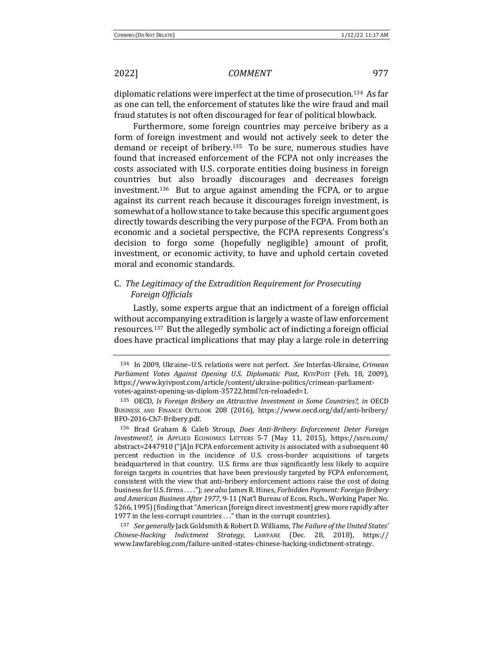diplomatic relations were imperfect at the time of prosecution.<sup>134</sup> As far as one can tell, the enforcement of statutes like the wire fraud and mail fraud statutes is not often discouraged for fear of political blowback.

Furthermore, some foreign countries may perceive bribery as a form of foreign investment and would not actively seek to deter the demand or receipt of bribery.<sup>135</sup> To be sure, numerous studies have found that increased enforcement of the FCPA not only increases the costs associated with U.S. corporate entities doing business in foreign countries but also broadly discourages and decreases foreign investment.<sup>136</sup> But to argue against amending the FCPA, or to argue against its current reach because it discourages foreign investment, is somewhat of a hollow stance to take because this specific argument goes directly towards describing the very purpose of the FCPA. From both an economic and a societal perspective, the FCPA represents Congress's decision to forgo some (hopefully negligible) amount of profit, investment, or economic activity, to have and uphold certain coveted moral and economic standards.

### C. The Legitimacy of the Extradition Requirement for Prosecuting *Foreign Officials*

Lastly, some experts argue that an indictment of a foreign official without accompanying extradition is largely a waste of law enforcement resources.<sup>137</sup> But the allegedly symbolic act of indicting a foreign official does have practical implications that may play a large role in deterring

137 *See generally* Jack Goldsmith & Robert D. Williams, The Failure of the United States' *Chinese-Hacking Indictment Strategy*, LAWFARE (Dec. 28, 2018), https:// www.lawfareblog.com/failure-united-states-chinese-hacking-indictment-strategy. 

<sup>134</sup> In 2009, Ukraine-U.S. relations were not perfect. See Interfax-Ukraine, Crimean Parliament Votes Against Opening U.S. Diplomatic Post, KYIVPOST (Feb. 18, 2009), https://www.kyivpost.com/article/content/ukraine-politics/crimean-parliamentvotes-against-opening-us-diplom-35722.html?cn-reloaded=1. 

<sup>135</sup> OECD, *Is Foreign Bribery an Attractive Investment in Some Countries?*, in OECD BUSINESS AND FINANCE OUTLOOK 208 (2016), https://www.oecd.org/daf/anti-bribery/ BFO-2016-Ch7-Bribery.pdf. 

<sup>&</sup>lt;sup>136</sup> Brad Graham & Caleb Stroup, *Does Anti-Bribery Enforcement Deter Foreign Investment?, in*  APPLIED ECONOMICS LETTERS 5-7 (May 11, 2015), https://ssrn.com/ abstract=2447910 ("[A]n FCPA enforcement activity is associated with a subsequent 40 percent reduction in the incidence of U.S. cross-border acquisitions of targets headquartered in that country. U.S. firms are thus significantly less likely to acquire foreign targets in countries that have been previously targeted by FCPA enforcement, consistent with the view that anti-bribery enforcement actions raise the cost of doing business for U.S. firms . . . ."); see also James R. Hines, *Forbidden Payment: Foreign Bribery* and American Business After 1977, 9-11 (Nat'l Bureau of Econ. Rsch., Working Paper No. 5266, 1995) (finding that "American [foreign direct investment] grew more rapidly after 1977 in the less-corrupt countries . . ." than in the corrupt countries).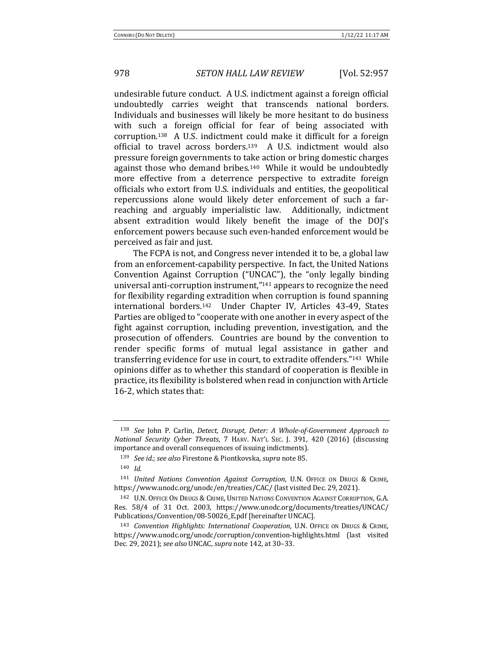undesirable future conduct. A U.S. indictment against a foreign official undoubtedly carries weight that transcends national borders. Individuals and businesses will likely be more hesitant to do business with such a foreign official for fear of being associated with corruption.<sup>138</sup> A U.S. indictment could make it difficult for a foreign official to travel across borders.<sup>139</sup> A U.S. indictment would also pressure foreign governments to take action or bring domestic charges against those who demand bribes.<sup>140</sup> While it would be undoubtedly more effective from a deterrence perspective to extradite foreign officials who extort from U.S. individuals and entities, the geopolitical repercussions alone would likely deter enforcement of such a farreaching and arguably imperialistic law. Additionally, indictment absent extradition would likely benefit the image of the DOJ's enforcement powers because such even-handed enforcement would be perceived as fair and just.

The FCPA is not, and Congress never intended it to be, a global law from an enforcement-capability perspective. In fact, the United Nations Convention Against Corruption ("UNCAC"), the "only legally binding universal anti-corruption instrument," $141$  appears to recognize the need for flexibility regarding extradition when corruption is found spanning international borders.<sup>142</sup> Under Chapter IV, Articles 43-49, States Parties are obliged to "cooperate with one another in every aspect of the fight against corruption, including prevention, investigation, and the prosecution of offenders. Countries are bound by the convention to render specific forms of mutual legal assistance in gather and transferring evidence for use in court, to extradite offenders."<sup>143</sup> While opinions differ as to whether this standard of cooperation is flexible in practice, its flexibility is bolstered when read in conjunction with Article 16-2, which states that:

<sup>&</sup>lt;sup>138</sup> *See* John P. Carlin, *Detect, Disrupt, Deter: A Whole-of-Government Approach to National Security Cyber Threats*, 7 HARV. NAT'L SEC. J. 391, 420 (2016) (discussing importance and overall consequences of issuing indictments).

<sup>139</sup> *See id.*; see also Firestone & Piontkovska, supra note 85.

<sup>140</sup> *Id.*

<sup>141</sup> *United Nations Convention Against Corruption*, U.N. OFFICE ON DRUGS & CRIME, https://www.unodc.org/unodc/en/treaties/CAC/ (last visited Dec. 29, 2021).

<sup>142</sup> U.N. OFFICE ON DRUGS & CRIME, UNITED NATIONS CONVENTION AGAINST CORRUPTION, G.A. Res. 58/4 of 31 Oct. 2003, https://www.unodc.org/documents/treaties/UNCAC/ Publications/Convention/08-50026\_E.pdf [hereinafter UNCAC].

<sup>143</sup> *Convention Highlights: International Cooperation*, U.N. OFFICE ON DRUGS & CRIME, https://www.unodc.org/unodc/corruption/convention-highlights.html (last visited Dec. 29, 2021); *see also* UNCAC, *supra* note 142, at 30-33.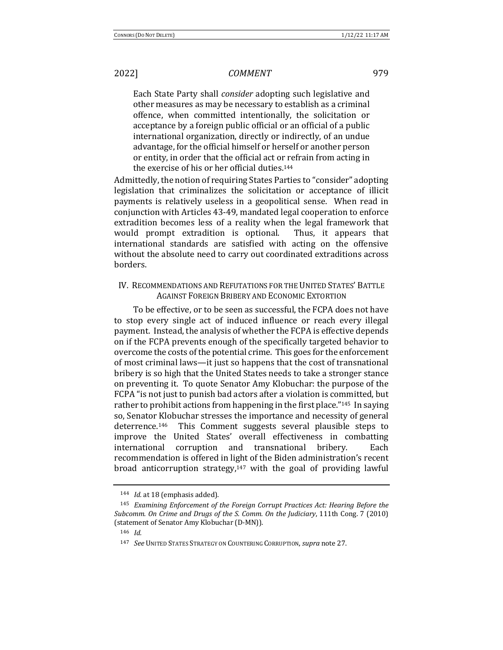Each State Party shall *consider* adopting such legislative and other measures as may be necessary to establish as a criminal offence, when committed intentionally, the solicitation or acceptance by a foreign public official or an official of a public international organization, directly or indirectly, of an undue advantage, for the official himself or herself or another person or entity, in order that the official act or refrain from acting in the exercise of his or her official duties.<sup>144</sup>

Admittedly, the notion of requiring States Parties to "consider" adopting legislation that criminalizes the solicitation or acceptance of illicit payments is relatively useless in a geopolitical sense. When read in conjunction with Articles 43-49, mandated legal cooperation to enforce extradition becomes less of a reality when the legal framework that would prompt extradition is optional. Thus, it appears that international standards are satisfied with acting on the offensive without the absolute need to carry out coordinated extraditions across borders. 

### IV. RECOMMENDATIONS AND REFUTATIONS FOR THE UNITED STATES' BATTLE AGAINST FOREIGN BRIBERY AND ECONOMIC EXTORTION

To be effective, or to be seen as successful, the FCPA does not have to stop every single act of induced influence or reach every illegal payment. Instead, the analysis of whether the FCPA is effective depends on if the FCPA prevents enough of the specifically targeted behavior to overcome the costs of the potential crime. This goes for the enforcement of most criminal laws—it just so happens that the cost of transnational bribery is so high that the United States needs to take a stronger stance on preventing it. To quote Senator Amy Klobuchar: the purpose of the FCPA "is not just to punish bad actors after a violation is committed, but rather to prohibit actions from happening in the first place."<sup>145</sup> In saying so, Senator Klobuchar stresses the importance and necessity of general deterrence.<sup>146</sup> This Comment suggests several plausible steps to improve the United States' overall effectiveness in combatting international corruption and transnational bribery. Each recommendation is offered in light of the Biden administration's recent broad anticorruption strategy, $147$  with the goal of providing lawful

<sup>&</sup>lt;sup>144</sup> *Id.* at 18 (emphasis added).

<sup>&</sup>lt;sup>145</sup> Examining Enforcement of the Foreign Corrupt Practices Act: Hearing Before the *Subcomm.* On Crime and Drugs of the S. Comm. On the Judiciary, 111th Cong. 7 (2010) (statement of Senator Amy Klobuchar (D-MN)).

<sup>146</sup> *Id.*

<sup>147</sup> *See* UNITED STATES STRATEGY ON COUNTERING CORRUPTION, *supra* note 27.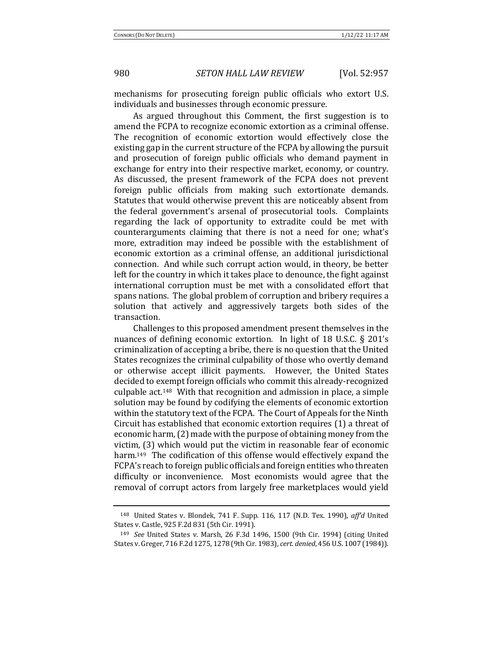mechanisms for prosecuting foreign public officials who extort U.S. individuals and businesses through economic pressure.

As argued throughout this Comment, the first suggestion is to amend the FCPA to recognize economic extortion as a criminal offense. The recognition of economic extortion would effectively close the existing gap in the current structure of the FCPA by allowing the pursuit and prosecution of foreign public officials who demand payment in exchange for entry into their respective market, economy, or country. As discussed, the present framework of the FCPA does not prevent foreign public officials from making such extortionate demands. Statutes that would otherwise prevent this are noticeably absent from the federal government's arsenal of prosecutorial tools. Complaints regarding the lack of opportunity to extradite could be met with counterarguments claiming that there is not a need for one; what's more, extradition may indeed be possible with the establishment of economic extortion as a criminal offense, an additional jurisdictional connection. And while such corrupt action would, in theory, be better left for the country in which it takes place to denounce, the fight against international corruption must be met with a consolidated effort that spans nations. The global problem of corruption and bribery requires a solution that actively and aggressively targets both sides of the transaction.

Challenges to this proposed amendment present themselves in the nuances of defining economic extortion. In light of 18 U.S.C.  $\S$  201's criminalization of accepting a bribe, there is no question that the United States recognizes the criminal culpability of those who overtly demand or otherwise accept illicit payments. However, the United States decided to exempt foreign officials who commit this already-recognized culpable  $act.^{148}$  With that recognition and admission in place, a simple solution may be found by codifying the elements of economic extortion within the statutory text of the FCPA. The Court of Appeals for the Ninth Circuit has established that economic extortion requires (1) a threat of economic harm, (2) made with the purpose of obtaining money from the victim,  $(3)$  which would put the victim in reasonable fear of economic harm.<sup>149</sup> The codification of this offense would effectively expand the FCPA's reach to foreign public officials and foreign entities who threaten difficulty or inconvenience. Most economists would agree that the removal of corrupt actors from largely free marketplaces would yield

<sup>&</sup>lt;sup>148</sup> United States v. Blondek, 741 F. Supp. 116, 117 (N.D. Tex. 1990), aff'd United States v. Castle, 925 F.2d 831 (5th Cir. 1991).

<sup>&</sup>lt;sup>149</sup> *See* United States v. Marsh, 26 F.3d 1496, 1500 (9th Cir. 1994) (citing United States v. Greger, 716 F.2d 1275, 1278 (9th Cir. 1983), *cert. denied*, 456 U.S. 1007 (1984)).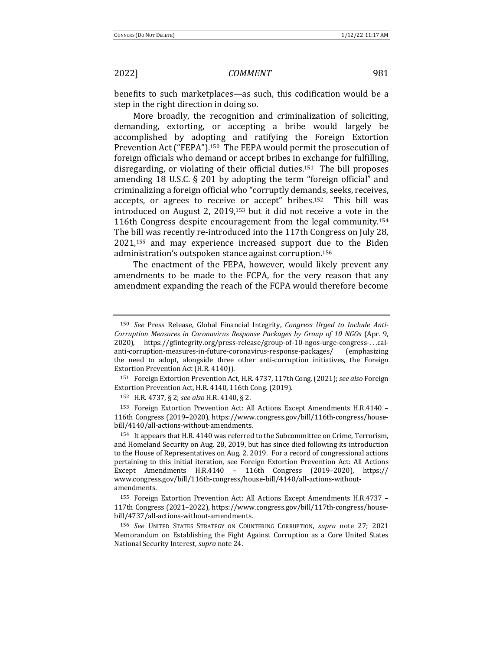benefits to such marketplaces—as such, this codification would be a step in the right direction in doing so.

More broadly, the recognition and criminalization of soliciting, demanding, extorting, or accepting a bribe would largely be accomplished by adopting and ratifying the Foreign Extortion Prevention Act ("FEPA").<sup>150</sup> The FEPA would permit the prosecution of foreign officials who demand or accept bribes in exchange for fulfilling, disregarding, or violating of their official duties.<sup>151</sup> The bill proposes amending 18 U.S.C.  $\S$  201 by adopting the term "foreign official" and criminalizing a foreign official who "corruptly demands, seeks, receives, accepts, or agrees to receive or accept" bribes.<sup>152</sup> This bill was introduced on August 2,  $2019$ ,<sup>153</sup> but it did not receive a vote in the 116th Congress despite encouragement from the legal community.<sup>154</sup> The bill was recently re-introduced into the 117th Congress on July 28,  $2021,155$  and may experience increased support due to the Biden administration's outspoken stance against corruption.<sup>156</sup>

The enactment of the FEPA, however, would likely prevent any amendments to be made to the FCPA, for the very reason that any amendment expanding the reach of the FCPA would therefore become

 $153$  Foreign Extortion Prevention Act: All Actions Except Amendments H.R.4140 – 116th Congress (2019-2020), https://www.congress.gov/bill/116th-congress/housebill/4140/all-actions-without-amendments.

<sup>&</sup>lt;sup>150</sup> See Press Release, Global Financial Integrity, *Congress Urged to Include Anti-Corruption Measures in Coronavirus Response Packages by Group of 10 NGOs* (Apr. 9, 2020), https://gfintegrity.org/press-release/group-of-10-ngos-urge-congress-...calanti-corruption-measures-in-future-coronavirus-response-packages/ (emphasizing the need to adopt, alongside three other anti-corruption initiatives, the Foreign Extortion Prevention Act (H.R. 4140)).

<sup>&</sup>lt;sup>151</sup> Foreign Extortion Prevention Act, H.R. 4737, 117th Cong. (2021); *see also* Foreign Extortion Prevention Act, H.R. 4140, 116th Cong. (2019).

<sup>152</sup> H.R. 4737, § 2; see also H.R. 4140, § 2.

<sup>&</sup>lt;sup>154</sup> It appears that H.R. 4140 was referred to the Subcommittee on Crime, Terrorism, and Homeland Security on Aug. 28, 2019, but has since died following its introduction to the House of Representatives on Aug. 2, 2019. For a record of congressional actions pertaining to this initial iteration, see Foreign Extortion Prevention Act: All Actions Except Amendments H.R.4140 - 116th Congress (2019-2020), https:// www.congress.gov/bill/116th-congress/house-bill/4140/all-actions-withoutamendments. 

<sup>&</sup>lt;sup>155</sup> Foreign Extortion Prevention Act: All Actions Except Amendments H.R.4737 -117th Congress (2021–2022), https://www.congress.gov/bill/117th-congress/housebill/4737/all-actions-without-amendments. 

<sup>156</sup> *See* UNITED STATES STRATEGY ON COUNTERING CORRUPTION, *supra* note 27; 2021 Memorandum on Establishing the Fight Against Corruption as a Core United States National Security Interest, *supra* note 24.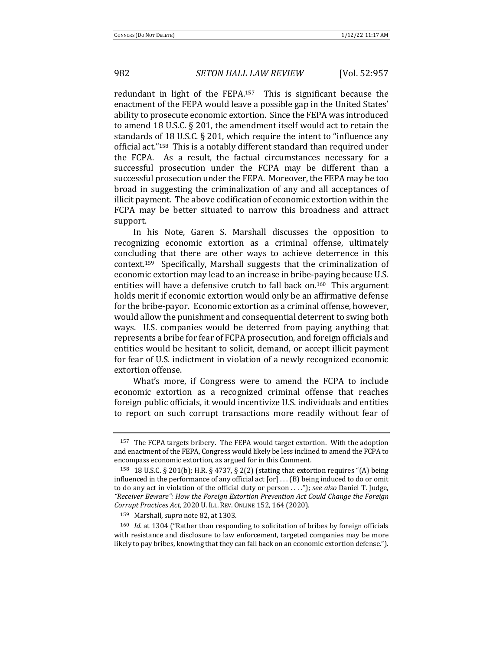redundant in light of the FEPA.<sup>157</sup> This is significant because the enactment of the FEPA would leave a possible gap in the United States' ability to prosecute economic extortion. Since the FEPA was introduced to amend 18 U.S.C.  $\S$  201, the amendment itself would act to retain the standards of 18 U.S.C.  $\S$  201, which require the intent to "influence any official act."<sup>158</sup> This is a notably different standard than required under the FCPA. As a result, the factual circumstances necessary for a successful prosecution under the FCPA may be different than a successful prosecution under the FEPA. Moreover, the FEPA may be too broad in suggesting the criminalization of any and all acceptances of illicit payment. The above codification of economic extortion within the FCPA may be better situated to narrow this broadness and attract support. 

In his Note, Garen S. Marshall discusses the opposition to recognizing economic extortion as a criminal offense, ultimately concluding that there are other ways to achieve deterrence in this context.<sup>159</sup> Specifically, Marshall suggests that the criminalization of economic extortion may lead to an increase in bribe-paying because U.S. entities will have a defensive crutch to fall back on.<sup>160</sup> This argument holds merit if economic extortion would only be an affirmative defense for the bribe-payor. Economic extortion as a criminal offense, however, would allow the punishment and consequential deterrent to swing both ways. U.S. companies would be deterred from paying anything that represents a bribe for fear of FCPA prosecution, and foreign officials and entities would be hesitant to solicit, demand, or accept illicit payment for fear of U.S. indictment in violation of a newly recognized economic extortion offense.

What's more, if Congress were to amend the FCPA to include economic extortion as a recognized criminal offense that reaches foreign public officials, it would incentivize U.S. individuals and entities to report on such corrupt transactions more readily without fear of

 $157$  The FCPA targets bribery. The FEPA would target extortion. With the adoption and enactment of the FEPA, Congress would likely be less inclined to amend the FCPA to encompass economic extortion, as argued for in this Comment.

<sup>&</sup>lt;sup>158</sup> 18 U.S.C. § 201(b); H.R. § 4737, § 2(2) (stating that extortion requires "(A) being influenced in the performance of any official act  $[or] \dots (B)$  being induced to do or omit to do any act in violation of the official duty or person ...."); see also Daniel T. Judge, "Receiver Beware": How the Foreign Extortion Prevention Act Could Change the Foreign *Corrupt Practices Act*, 2020 U. ILL. REV. ONLINE 152, 164 (2020). 

<sup>159</sup> Marshall, *supra* note 82, at 1303.

<sup>&</sup>lt;sup>160</sup> *Id.* at 1304 ("Rather than responding to solicitation of bribes by foreign officials with resistance and disclosure to law enforcement, targeted companies may be more likely to pay bribes, knowing that they can fall back on an economic extortion defense.").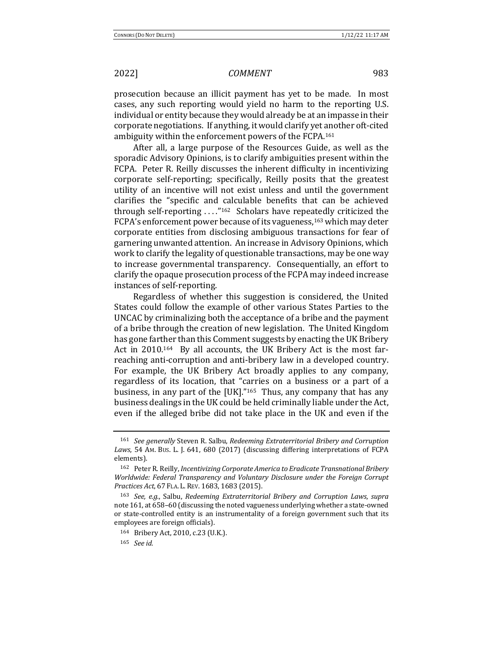prosecution because an illicit payment has yet to be made. In most cases, any such reporting would yield no harm to the reporting U.S. individual or entity because they would already be at an impasse in their corporate negotiations. If anything, it would clarify yet another oft-cited ambiguity within the enforcement powers of the FCPA.<sup>161</sup>

After all, a large purpose of the Resources Guide, as well as the sporadic Advisory Opinions, is to clarify ambiguities present within the FCPA. Peter R. Reilly discusses the inherent difficulty in incentivizing corporate self-reporting; specifically, Reilly posits that the greatest utility of an incentive will not exist unless and until the government clarifies the "specific and calculable benefits that can be achieved through self-reporting  $\dots$ ."<sup>162</sup> Scholars have repeatedly criticized the FCPA's enforcement power because of its vagueness,<sup>163</sup> which may deter corporate entities from disclosing ambiguous transactions for fear of garnering unwanted attention. An increase in Advisory Opinions, which work to clarify the legality of questionable transactions, may be one way to increase governmental transparency. Consequentially, an effort to clarify the opaque prosecution process of the FCPA may indeed increase instances of self-reporting.

Regardless of whether this suggestion is considered, the United States could follow the example of other various States Parties to the UNCAC by criminalizing both the acceptance of a bribe and the payment of a bribe through the creation of new legislation. The United Kingdom has gone farther than this Comment suggests by enacting the UK Bribery Act in  $2010^{164}$  By all accounts, the UK Bribery Act is the most farreaching anti-corruption and anti-bribery law in a developed country. For example, the UK Bribery Act broadly applies to any company, regardless of its location, that "carries on a business or a part of a business, in any part of the  $[UK]$ ."<sup>165</sup> Thus, any company that has any business dealings in the UK could be held criminally liable under the Act, even if the alleged bribe did not take place in the UK and even if the

<sup>&</sup>lt;sup>161</sup> *See generally* Steven R. Salbu, *Redeeming Extraterritorial Bribery and Corruption* Laws, 54 AM. Bus. L. J. 641, 680 (2017) (discussing differing interpretations of FCPA elements). 

<sup>&</sup>lt;sup>162</sup> Peter R. Reilly, *Incentivizing Corporate America to Eradicate Transnational Bribery Worldwide: Federal Transparency and Voluntary Disclosure under the Foreign Corrupt Practices Act*, 67 FLA. L. REV. 1683, 1683 (2015). 

<sup>163</sup> *See, e.g.*, Salbu, Redeeming Extraterritorial Bribery and Corruption Laws, supra note 161, at 658-60 (discussing the noted vagueness underlying whether a state-owned or state-controlled entity is an instrumentality of a foreign government such that its employees are foreign officials).

<sup>164</sup> Bribery Act, 2010, c.23 (U.K.).

<sup>165</sup> *See id.*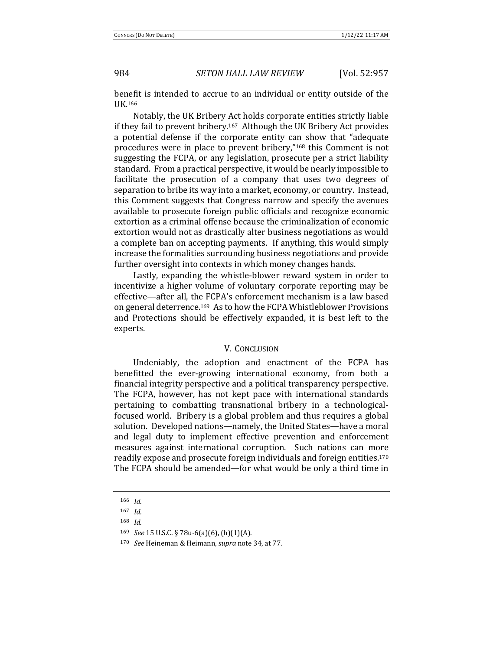benefit is intended to accrue to an individual or entity outside of the UK.166

Notably, the UK Bribery Act holds corporate entities strictly liable if they fail to prevent bribery.<sup>167</sup> Although the UK Bribery Act provides a potential defense if the corporate entity can show that "adequate procedures were in place to prevent bribery,"<sup>168</sup> this Comment is not suggesting the FCPA, or any legislation, prosecute per a strict liability standard. From a practical perspective, it would be nearly impossible to facilitate the prosecution of a company that uses two degrees of separation to bribe its way into a market, economy, or country. Instead, this Comment suggests that Congress narrow and specify the avenues available to prosecute foreign public officials and recognize economic extortion as a criminal offense because the criminalization of economic extortion would not as drastically alter business negotiations as would a complete ban on accepting payments. If anything, this would simply increase the formalities surrounding business negotiations and provide further oversight into contexts in which money changes hands.

Lastly, expanding the whistle-blower reward system in order to incentivize a higher volume of voluntary corporate reporting may be effective—after all, the FCPA's enforcement mechanism is a law based on general deterrence.<sup>169</sup> As to how the FCPA Whistleblower Provisions and Protections should be effectively expanded, it is best left to the experts. 

#### V. CONCLUSION

Undeniably, the adoption and enactment of the FCPA has benefitted the ever-growing international economy, from both a financial integrity perspective and a political transparency perspective. The FCPA, however, has not kept pace with international standards pertaining to combatting transnational bribery in a technologicalfocused world. Bribery is a global problem and thus requires a global solution. Developed nations—namely, the United States—have a moral and legal duty to implement effective prevention and enforcement measures against international corruption. Such nations can more readily expose and prosecute foreign individuals and foreign entities.<sup>170</sup> The FCPA should be amended—for what would be only a third time in

<sup>166</sup> *Id.*

<sup>167</sup> *Id.*

<sup>168</sup> *Id.*

<sup>169</sup> *See* 15 U.S.C. § 78u-6(a)(6), (h)(1)(A).

<sup>170</sup> *See* Heineman & Heimann, *supra* note 34, at 77.